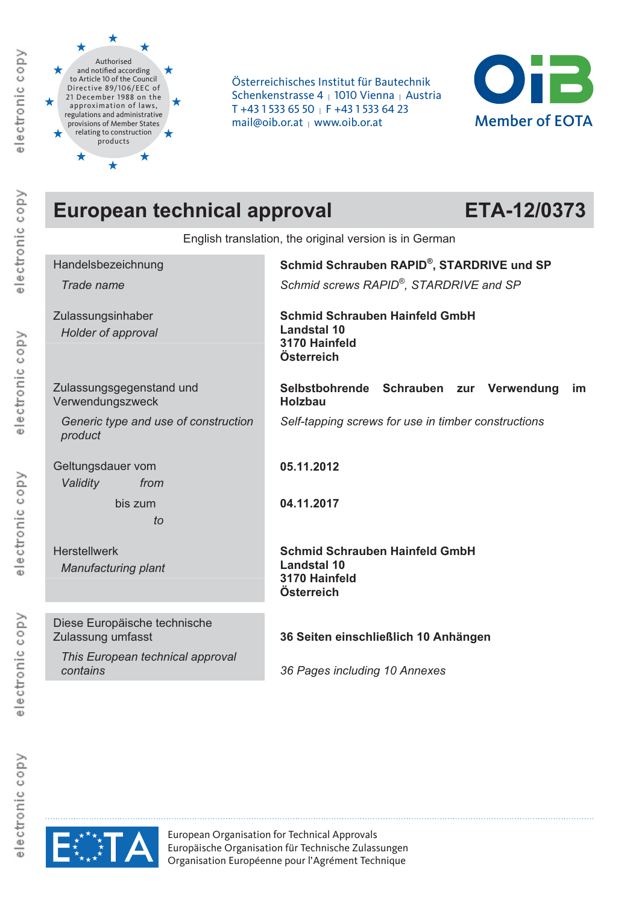electronic copy

electronic copy

electronic copy

Authorised and notified according to Article 10 of the Council Directive 89/106/EEC of 21 December 1988 on the approximation of laws, regulations and administrative provisions of Member States relating to construction products

Österreichisches Institut für Bautechnik Schenkenstrasse 4 | 1010 Vienna | Austria T +43 1 533 65 50 | F +43 1 533 64 23 mail@oib.or.at | www.oib.or.at



# **European technical approval ETA-12/0373** English translation, the original version is in German Handelsbezeichnung **Schmid Schrauben RAPID®, STARDRIVE und SP**  *Trade name Schmid screws RAPID®, STARDRIVE and SP*  Zulassungsinhaber *Holder of approval*  **Schmid Schrauben Hainfeld GmbH Landstal 10 3170 Hainfeld Österreich**  Zulassungsgegenstand und Verwendungszweck **Selbstbohrende Schrauben zur Verwendung im Holzbau**  *Generic type and use of construction product Self-tapping screws for use in timber constructions*  Geltungsdauer vom *Validity from*  **05.11.2012**  bis zum  *to*  **04.11.2017 Herstellwerk** *Manufacturing plant*  **Schmid Schrauben Hainfeld GmbH Landstal 10 3170 Hainfeld Österreich**  Diese Europäische technische Zulassung umfasst **36 Seiten einschließlich 10 Anhängen**  *This European technical approval contains 36 Pages including 10 Annexes*



European Organisation for Technical Approvals Europäische Organisation für Technische Zulassungen Organisation Européenne pour l' Agrément Technique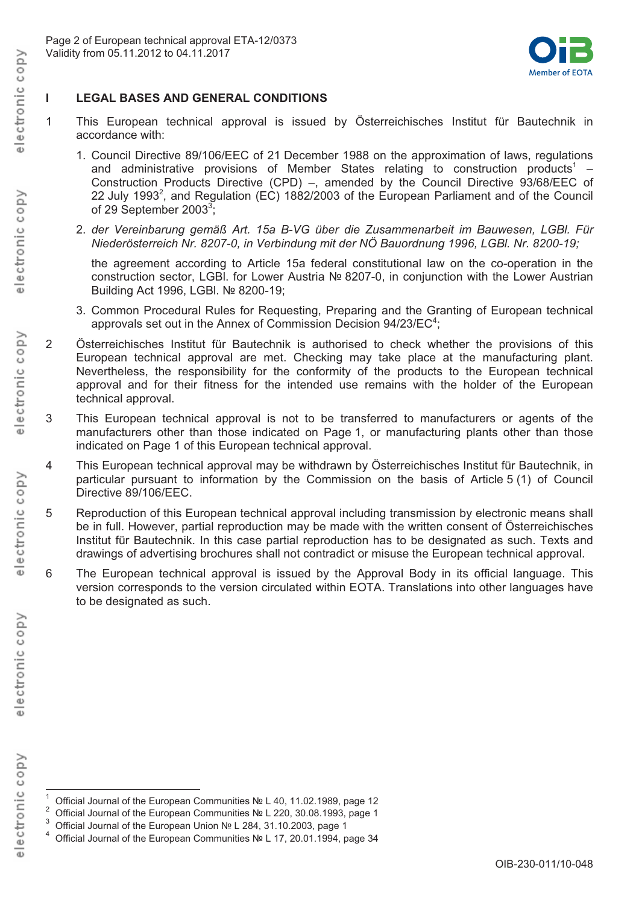

### **I LEGAL BASES AND GENERAL CONDITIONS**

- 1 This European technical approval is issued by Österreichisches Institut für Bautechnik in accordance with:
	- 1. Council Directive 89/106/EEC of 21 December 1988 on the approximation of laws, regulations and administrative provisions of Member States relating to construction products<sup>1</sup>  $-$ Construction Products Directive (CPD) –, amended by the Council Directive 93/68/EEC of 22 July 1993<sup>2</sup>, and Regulation (EC) 1882/2003 of the European Parliament and of the Council of 29 September 2003 $3$ ;
	- 2. *der Vereinbarung gemäß Art. 15a B-VG über die Zusammenarbeit im Bauwesen, LGBl. Für Niederösterreich Nr. 8207-0, in Verbindung mit der NÖ Bauordnung 1996, LGBl. Nr. 8200-19;*

the agreement according to Article 15a federal constitutional law on the co-operation in the construction sector, LGBI. for Lower Austria Nº 8207-0, in conjunction with the Lower Austrian Building Act 1996, LGBI. № 8200-19;

- 3. Common Procedural Rules for Requesting, Preparing and the Granting of European technical approvals set out in the Annex of Commission Decision  $94/23$ /EC<sup>4</sup>;
- 2 Österreichisches Institut für Bautechnik is authorised to check whether the provisions of this European technical approval are met. Checking may take place at the manufacturing plant. Nevertheless, the responsibility for the conformity of the products to the European technical approval and for their fitness for the intended use remains with the holder of the European technical approval.
- 3 This European technical approval is not to be transferred to manufacturers or agents of the manufacturers other than those indicated on Page 1, or manufacturing plants other than those indicated on Page 1 of this European technical approval.
- 4 This European technical approval may be withdrawn by Österreichisches Institut für Bautechnik, in particular pursuant to information by the Commission on the basis of Article 5 (1) of Council Directive 89/106/EEC.
- 5 Reproduction of this European technical approval including transmission by electronic means shall be in full. However, partial reproduction may be made with the written consent of Österreichisches Institut für Bautechnik. In this case partial reproduction has to be designated as such. Texts and drawings of advertising brochures shall not contradict or misuse the European technical approval.
- 6 The European technical approval is issued by the Approval Body in its official language. This version corresponds to the version circulated within EOTA. Translations into other languages have to be designated as such.

 $\overline{a}$ 

Official Journal of the European Communities  $N<sup>2</sup>$  L 40, 11.02.1989, page 12

Official Journal of the European Communities № L 220, 30.08.1993, page 1  $^4$  Official Journal of the European Communities № L 220, 30.08.1993, page 1<br> $^3$  Official Journal of the European Union № L 284, 31.10.2003, page 1

<sup>&</sup>lt;sup>4</sup> Official Journal of the European Communities № L 17, 20.01.1994, page 34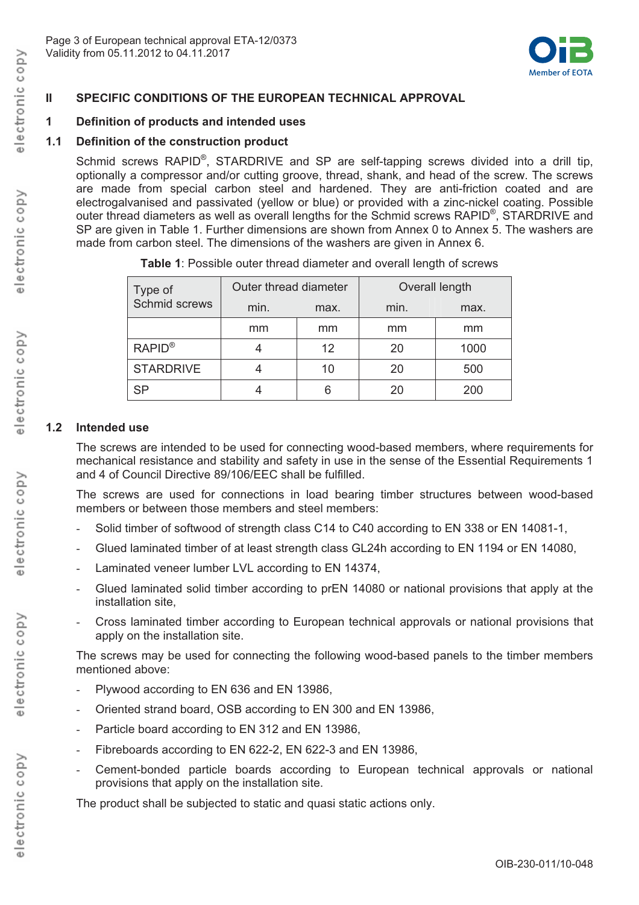

# **II SPECIFIC CONDITIONS OF THE EUROPEAN TECHNICAL APPROVAL**

#### **1 Definition of products and intended uses**

#### **1.1 Definition of the construction product**

Schmid screws RAPID<sup>®</sup>, STARDRIVE and SP are self-tapping screws divided into a drill tip, optionally a compressor and/or cutting groove, thread, shank, and head of the screw. The screws are made from special carbon steel and hardened. They are anti-friction coated and are electrogalvanised and passivated (yellow or blue) or provided with a zinc-nickel coating. Possible outer thread diameters as well as overall lengths for the Schmid screws RAPID<sup>®</sup>, STARDRIVE and SP are given in Table 1. Further dimensions are shown from Annex 0 to Annex 5. The washers are made from carbon steel. The dimensions of the washers are given in Annex 6.

| Type of          | Outer thread diameter |    | Overall length |      |  |
|------------------|-----------------------|----|----------------|------|--|
| Schmid screws    | min.<br>max.          |    | min.           | max. |  |
|                  | mm                    | mm | mm             | mm   |  |
| RAPID®           |                       | 12 | 20             | 1000 |  |
| <b>STARDRIVE</b> |                       | 10 | 20             | 500  |  |
| SP               |                       |    | 20             | 200  |  |

| Table 1: Possible outer thread diameter and overall length of screws |  |  |
|----------------------------------------------------------------------|--|--|
|----------------------------------------------------------------------|--|--|

#### **1.2 Intended use**

The screws are intended to be used for connecting wood-based members, where requirements for mechanical resistance and stability and safety in use in the sense of the Essential Requirements 1 and 4 of Council Directive 89/106/EEC shall be fulfilled.

The screws are used for connections in load bearing timber structures between wood-based members or between those members and steel members:

- Solid timber of softwood of strength class C14 to C40 according to EN 338 or EN 14081-1,
- Glued laminated timber of at least strength class GL24h according to EN 1194 or EN 14080.
- Laminated veneer lumber LVL according to EN 14374,
- Glued laminated solid timber according to prEN 14080 or national provisions that apply at the installation site,
- Cross laminated timber according to European technical approvals or national provisions that apply on the installation site.

The screws may be used for connecting the following wood-based panels to the timber members mentioned above:

- Plywood according to EN 636 and EN 13986,
- Oriented strand board, OSB according to EN 300 and EN 13986,
- Particle board according to EN 312 and EN 13986,
- Fibreboards according to EN 622-2, EN 622-3 and EN 13986,
- Cement-bonded particle boards according to European technical approvals or national provisions that apply on the installation site.

The product shall be subjected to static and quasi static actions only.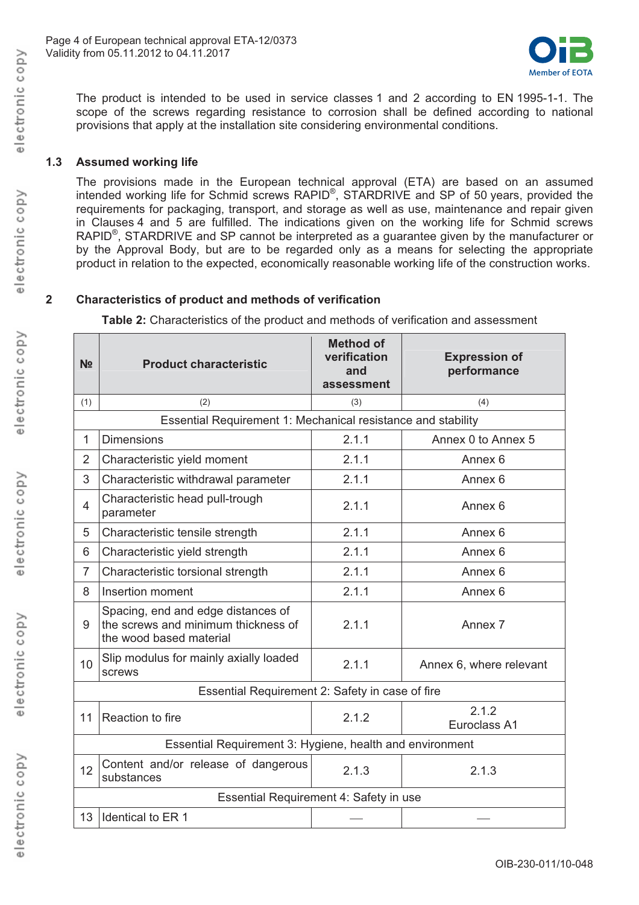

The product is intended to be used in service classes 1 and 2 according to EN 1995-1-1. The scope of the screws regarding resistance to corrosion shall be defined according to national provisions that apply at the installation site considering environmental conditions.

### **1.3 Assumed working life**

The provisions made in the European technical approval (ETA) are based on an assumed intended working life for Schmid screws RAPID®, STARDRIVE and SP of 50 years, provided the requirements for packaging, transport, and storage as well as use, maintenance and repair given in Clauses 4 and 5 are fulfilled. The indications given on the working life for Schmid screws RAPID®, STARDRIVE and SP cannot be interpreted as a guarantee given by the manufacturer or by the Approval Body, but are to be regarded only as a means for selecting the appropriate product in relation to the expected, economically reasonable working life of the construction works.

#### **2 Characteristics of product and methods of verification**

**Table 2:** Characteristics of the product and methods of verification and assessment

| N <sub>2</sub> | <b>Product characteristic</b>                                                                        | <b>Method of</b><br>verification<br>and<br>assessment | <b>Expression of</b><br>performance |  |  |  |  |  |
|----------------|------------------------------------------------------------------------------------------------------|-------------------------------------------------------|-------------------------------------|--|--|--|--|--|
| (1)            | (2)                                                                                                  | (3)                                                   | (4)                                 |  |  |  |  |  |
|                | Essential Requirement 1: Mechanical resistance and stability                                         |                                                       |                                     |  |  |  |  |  |
| 1              | <b>Dimensions</b>                                                                                    | 2.1.1                                                 | Annex 0 to Annex 5                  |  |  |  |  |  |
| $\overline{2}$ | Characteristic yield moment                                                                          | 2.1.1                                                 | Annex <sub>6</sub>                  |  |  |  |  |  |
| 3              | Characteristic withdrawal parameter                                                                  | 2.1.1                                                 | Annex <sub>6</sub>                  |  |  |  |  |  |
| $\overline{4}$ | Characteristic head pull-trough<br>parameter                                                         | 2.1.1                                                 | Annex <sub>6</sub>                  |  |  |  |  |  |
| 5              | Characteristic tensile strength                                                                      | 2.1.1                                                 | Annex 6                             |  |  |  |  |  |
| 6              | Characteristic yield strength                                                                        | 2.1.1                                                 | Annex 6                             |  |  |  |  |  |
| $\overline{7}$ | Characteristic torsional strength                                                                    | 2.1.1                                                 | Annex 6                             |  |  |  |  |  |
| 8              | Insertion moment                                                                                     | 2.1.1                                                 | Annex 6                             |  |  |  |  |  |
| 9              | Spacing, end and edge distances of<br>the screws and minimum thickness of<br>the wood based material | 2.1.1                                                 | Annex 7                             |  |  |  |  |  |
| 10             | Slip modulus for mainly axially loaded<br>screws                                                     | 2.1.1                                                 | Annex 6, where relevant             |  |  |  |  |  |
|                | Essential Requirement 2: Safety in case of fire                                                      |                                                       |                                     |  |  |  |  |  |
| 11             | Reaction to fire                                                                                     | 2.1.2                                                 | 2.1.2<br>Euroclass A1               |  |  |  |  |  |
|                | Essential Requirement 3: Hygiene, health and environment                                             |                                                       |                                     |  |  |  |  |  |
| 12             | Content and/or release of dangerous<br>substances                                                    | 2.1.3                                                 | 2.1.3                               |  |  |  |  |  |
|                | Essential Requirement 4: Safety in use                                                               |                                                       |                                     |  |  |  |  |  |
| 13             | Identical to ER 1                                                                                    |                                                       |                                     |  |  |  |  |  |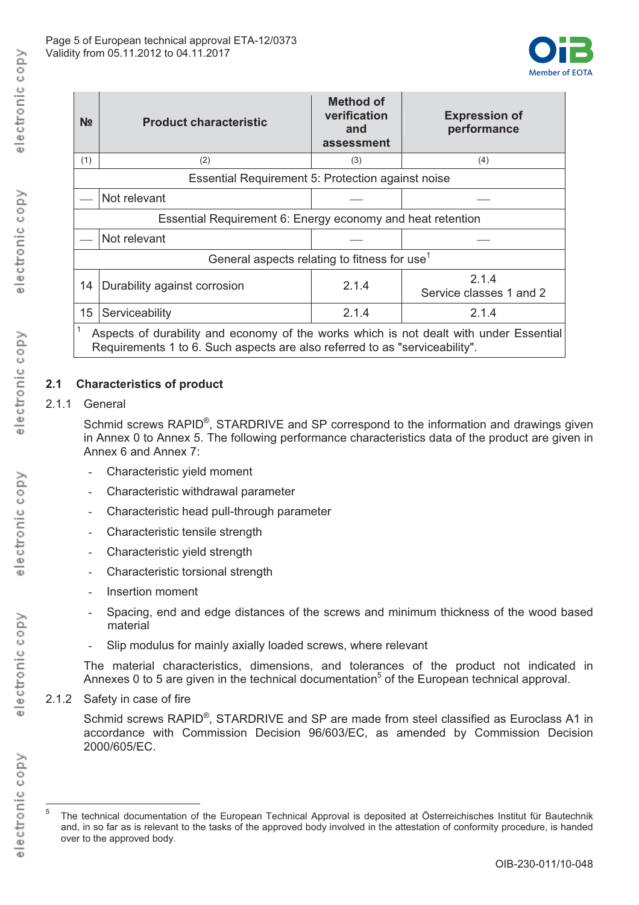

| N <sub>2</sub> | <b>Product characteristic</b>                                                                                                                                         | <b>Method of</b><br>verification<br>and<br>assessment | <b>Expression of</b><br>performance |  |  |  |  |  |
|----------------|-----------------------------------------------------------------------------------------------------------------------------------------------------------------------|-------------------------------------------------------|-------------------------------------|--|--|--|--|--|
| (1)            | (2)                                                                                                                                                                   | (3)                                                   | (4)                                 |  |  |  |  |  |
|                | Essential Requirement 5: Protection against noise                                                                                                                     |                                                       |                                     |  |  |  |  |  |
|                | Not relevant                                                                                                                                                          |                                                       |                                     |  |  |  |  |  |
|                | Essential Requirement 6: Energy economy and heat retention                                                                                                            |                                                       |                                     |  |  |  |  |  |
|                | Not relevant                                                                                                                                                          |                                                       |                                     |  |  |  |  |  |
|                | General aspects relating to fitness for use <sup>1</sup>                                                                                                              |                                                       |                                     |  |  |  |  |  |
| 14             | Durability against corrosion                                                                                                                                          | 2.1.4                                                 | 2.1.4<br>Service classes 1 and 2    |  |  |  |  |  |
| 15             | Serviceability                                                                                                                                                        | 2.1.4<br>2.1.4                                        |                                     |  |  |  |  |  |
|                | Aspects of durability and economy of the works which is not dealt with under Essential<br>Requirements 1 to 6. Such aspects are also referred to as "serviceability". |                                                       |                                     |  |  |  |  |  |

# **2.1 Characteristics of product**

#### 2.1.1 General

Schmid screws RAPID®, STARDRIVE and SP correspond to the information and drawings given in Annex 0 to Annex 5. The following performance characteristics data of the product are given in Annex 6 and Annex 7:

- Characteristic yield moment
- Characteristic withdrawal parameter
- Characteristic head pull-through parameter
- Characteristic tensile strength
- Characteristic yield strength
- Characteristic torsional strength
- Insertion moment
- Spacing, end and edge distances of the screws and minimum thickness of the wood based material
- Slip modulus for mainly axially loaded screws, where relevant

The material characteristics, dimensions, and tolerances of the product not indicated in Annexes 0 to 5 are given in the technical documentation<sup>5</sup> of the European technical approval.

2.1.2 Safety in case of fire

Schmid screws RAPID®, STARDRIVE and SP are made from steel classified as Euroclass A1 in accordance with Commission Decision 96/603/EC, as amended by Commission Decision 2000/605/EC.

electronic copy

 $\overline{a}$ 

ectronic copy

<sup>5</sup> The technical documentation of the European Technical Approval is deposited at Österreichisches Institut für Bautechnik and, in so far as is relevant to the tasks of the approved body involved in the attestation of conformity procedure, is handed over to the approved body.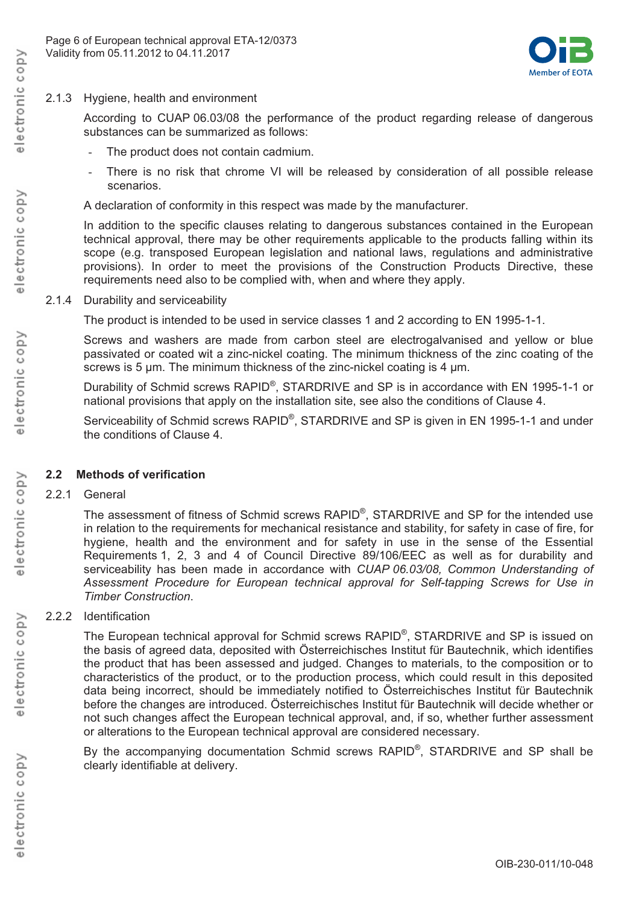

#### 2.1.3 Hygiene, health and environment

According to CUAP 06.03/08 the performance of the product regarding release of dangerous substances can be summarized as follows:

- The product does not contain cadmium.
- There is no risk that chrome VI will be released by consideration of all possible release scenarios.
- A declaration of conformity in this respect was made by the manufacturer.

In addition to the specific clauses relating to dangerous substances contained in the European technical approval, there may be other requirements applicable to the products falling within its scope (e.g. transposed European legislation and national laws, regulations and administrative provisions). In order to meet the provisions of the Construction Products Directive, these requirements need also to be complied with, when and where they apply.

#### 2.1.4 Durability and serviceability

The product is intended to be used in service classes 1 and 2 according to EN 1995-1-1.

Screws and washers are made from carbon steel are electrogalvanised and yellow or blue passivated or coated wit a zinc-nickel coating. The minimum thickness of the zinc coating of the screws is 5  $\mu$ m. The minimum thickness of the zinc-nickel coating is 4  $\mu$ m.

Durability of Schmid screws RAPID®, STARDRIVE and SP is in accordance with EN 1995-1-1 or national provisions that apply on the installation site, see also the conditions of Clause 4.

Serviceability of Schmid screws RAPID®, STARDRIVE and SP is given in EN 1995-1-1 and under the conditions of Clause 4.

# **2.2 Methods of verification**

#### 2.2.1 General

The assessment of fitness of Schmid screws RAPID®, STARDRIVE and SP for the intended use in relation to the requirements for mechanical resistance and stability, for safety in case of fire, for hygiene, health and the environment and for safety in use in the sense of the Essential Requirements 1, 2, 3 and 4 of Council Directive 89/106/EEC as well as for durability and serviceability has been made in accordance with *CUAP 06.03/08, Common Understanding of Assessment Procedure for European technical approval for Self-tapping Screws for Use in Timber Construction*.

# 2.2.2 Identification

The European technical approval for Schmid screws RAPID<sup>®</sup>, STARDRIVE and SP is issued on the basis of agreed data, deposited with Österreichisches Institut für Bautechnik, which identifies the product that has been assessed and judged. Changes to materials, to the composition or to characteristics of the product, or to the production process, which could result in this deposited data being incorrect, should be immediately notified to Österreichisches Institut für Bautechnik before the changes are introduced. Österreichisches Institut für Bautechnik will decide whether or not such changes affect the European technical approval, and, if so, whether further assessment or alterations to the European technical approval are considered necessary.

By the accompanying documentation Schmid screws RAPID<sup>®</sup>, STARDRIVE and SP shall be clearly identifiable at delivery.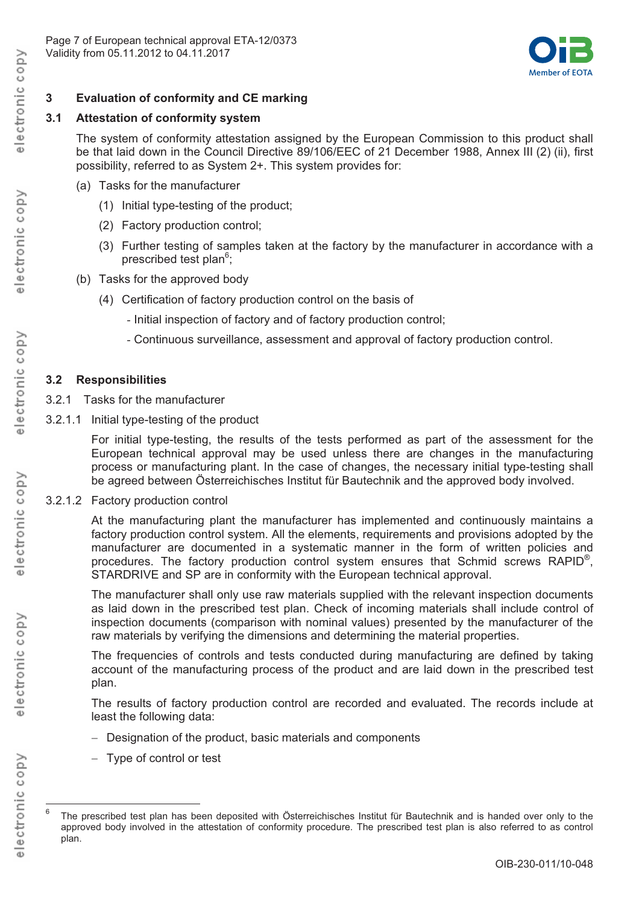

# **3 Evaluation of conformity and CE marking**

# **3.1 Attestation of conformity system**

The system of conformity attestation assigned by the European Commission to this product shall be that laid down in the Council Directive 89/106/EEC of 21 December 1988, Annex III (2) (ii), first possibility, referred to as System 2+. This system provides for:

- (a) Tasks for the manufacturer
	- (1) Initial type-testing of the product;
	- (2) Factory production control;
	- (3) Further testing of samples taken at the factory by the manufacturer in accordance with a prescribed test plan<sup>6</sup>;
- (b) Tasks for the approved body
	- (4) Certification of factory production control on the basis of
		- Initial inspection of factory and of factory production control;
		- Continuous surveillance, assessment and approval of factory production control.

# **3.2 Responsibilities**

- 3.2.1 Tasks for the manufacturer
- 3.2.1.1 Initial type-testing of the product

For initial type-testing, the results of the tests performed as part of the assessment for the European technical approval may be used unless there are changes in the manufacturing process or manufacturing plant. In the case of changes, the necessary initial type-testing shall be agreed between Österreichisches Institut für Bautechnik and the approved body involved.

3.2.1.2 Factory production control

At the manufacturing plant the manufacturer has implemented and continuously maintains a factory production control system. All the elements, requirements and provisions adopted by the manufacturer are documented in a systematic manner in the form of written policies and procedures. The factory production control system ensures that Schmid screws RAPID<sup>®</sup>, STARDRIVE and SP are in conformity with the European technical approval.

The manufacturer shall only use raw materials supplied with the relevant inspection documents as laid down in the prescribed test plan. Check of incoming materials shall include control of inspection documents (comparison with nominal values) presented by the manufacturer of the raw materials by verifying the dimensions and determining the material properties.

The frequencies of controls and tests conducted during manufacturing are defined by taking account of the manufacturing process of the product and are laid down in the prescribed test plan.

The results of factory production control are recorded and evaluated. The records include at least the following data:

- Designation of the product, basic materials and components
- Type of control or test

ectronic copy

 $\overline{a}$ 

The prescribed test plan has been deposited with Österreichisches Institut für Bautechnik and is handed over only to the approved body involved in the attestation of conformity procedure. The prescribed test plan is also referred to as control plan.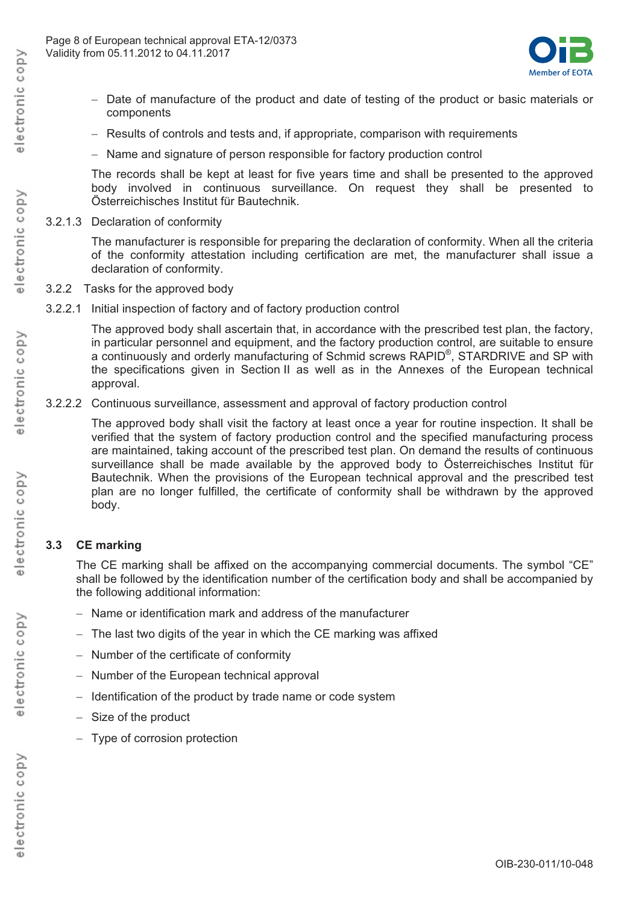

- Date of manufacture of the product and date of testing of the product or basic materials or components
- Results of controls and tests and, if appropriate, comparison with requirements
- Name and signature of person responsible for factory production control

The records shall be kept at least for five years time and shall be presented to the approved body involved in continuous surveillance. On request they shall be presented to Österreichisches Institut für Bautechnik.

3.2.1.3 Declaration of conformity

The manufacturer is responsible for preparing the declaration of conformity. When all the criteria of the conformity attestation including certification are met, the manufacturer shall issue a declaration of conformity.

- 3.2.2 Tasks for the approved body
- 3.2.2.1 Initial inspection of factory and of factory production control

The approved body shall ascertain that, in accordance with the prescribed test plan, the factory, in particular personnel and equipment, and the factory production control, are suitable to ensure a continuously and orderly manufacturing of Schmid screws RAPID<sup>®</sup>, STARDRIVE and SP with the specifications given in Section II as well as in the Annexes of the European technical approval.

3.2.2.2 Continuous surveillance, assessment and approval of factory production control

The approved body shall visit the factory at least once a year for routine inspection. It shall be verified that the system of factory production control and the specified manufacturing process are maintained, taking account of the prescribed test plan. On demand the results of continuous surveillance shall be made available by the approved body to Österreichisches Institut für Bautechnik. When the provisions of the European technical approval and the prescribed test plan are no longer fulfilled, the certificate of conformity shall be withdrawn by the approved body.

# **3.3 CE marking**

The CE marking shall be affixed on the accompanying commercial documents. The symbol "CE" shall be followed by the identification number of the certification body and shall be accompanied by the following additional information:

- Name or identification mark and address of the manufacturer
- $-$  The last two digits of the year in which the CE marking was affixed
- Number of the certificate of conformity
- Number of the European technical approval
- Identification of the product by trade name or code system
- Size of the product
- Type of corrosion protection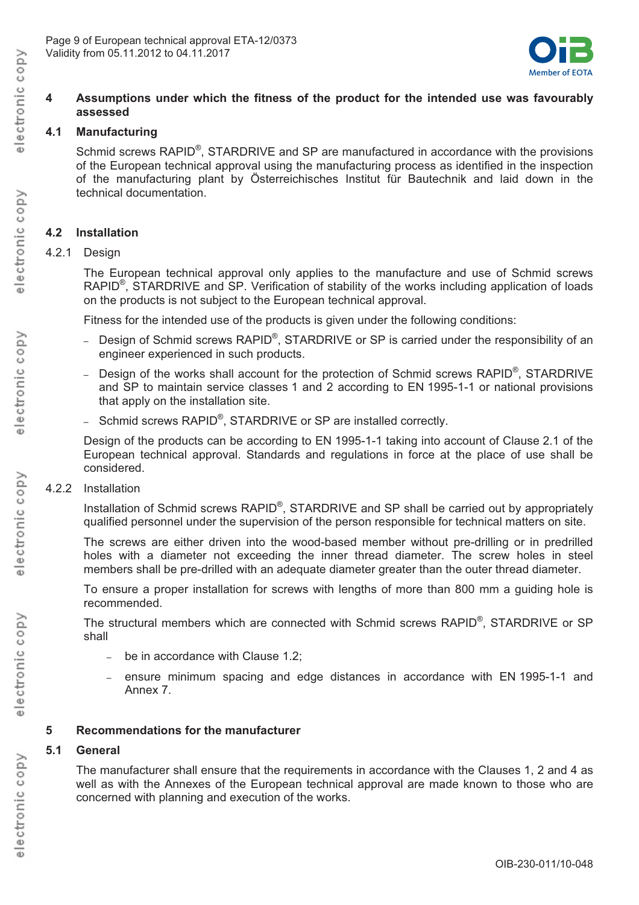

#### **4 Assumptions under which the fitness of the product for the intended use was favourably assessed**

#### **4.1 Manufacturing**

Schmid screws RAPID®, STARDRIVE and SP are manufactured in accordance with the provisions of the European technical approval using the manufacturing process as identified in the inspection of the manufacturing plant by Österreichisches Institut für Bautechnik and laid down in the technical documentation.

# **4.2 Installation**

#### 4.2.1 Design

The European technical approval only applies to the manufacture and use of Schmid screws RAPID<sup>®</sup>, STARDRIVE and SP. Verification of stability of the works including application of loads on the products is not subject to the European technical approval.

Fitness for the intended use of the products is given under the following conditions:

- Design of Schmid screws RAPID®, STARDRIVE or SP is carried under the responsibility of an engineer experienced in such products.
- Design of the works shall account for the protection of Schmid screws RAPID<sup>®</sup>, STARDRIVE and SP to maintain service classes 1 and 2 according to EN 1995-1-1 or national provisions that apply on the installation site.
- Schmid screws RAPID<sup>®</sup>, STARDRIVE or SP are installed correctly.

Design of the products can be according to EN 1995-1-1 taking into account of Clause 2.1 of the European technical approval. Standards and regulations in force at the place of use shall be considered.

#### 4.2.2 Installation

Installation of Schmid screws RAPID®, STARDRIVE and SP shall be carried out by appropriately qualified personnel under the supervision of the person responsible for technical matters on site.

The screws are either driven into the wood-based member without pre-drilling or in predrilled holes with a diameter not exceeding the inner thread diameter. The screw holes in steel members shall be pre-drilled with an adequate diameter greater than the outer thread diameter.

To ensure a proper installation for screws with lengths of more than 800 mm a guiding hole is recommended.

The structural members which are connected with Schmid screws RAPID®, STARDRIVE or SP shall

- be in accordance with Clause 1.2;
- ensure minimum spacing and edge distances in accordance with EN 1995-1-1 and Annex 7.

#### **5 Recommendations for the manufacturer**

#### **5.1 General**

The manufacturer shall ensure that the requirements in accordance with the Clauses 1, 2 and 4 as well as with the Annexes of the European technical approval are made known to those who are concerned with planning and execution of the works.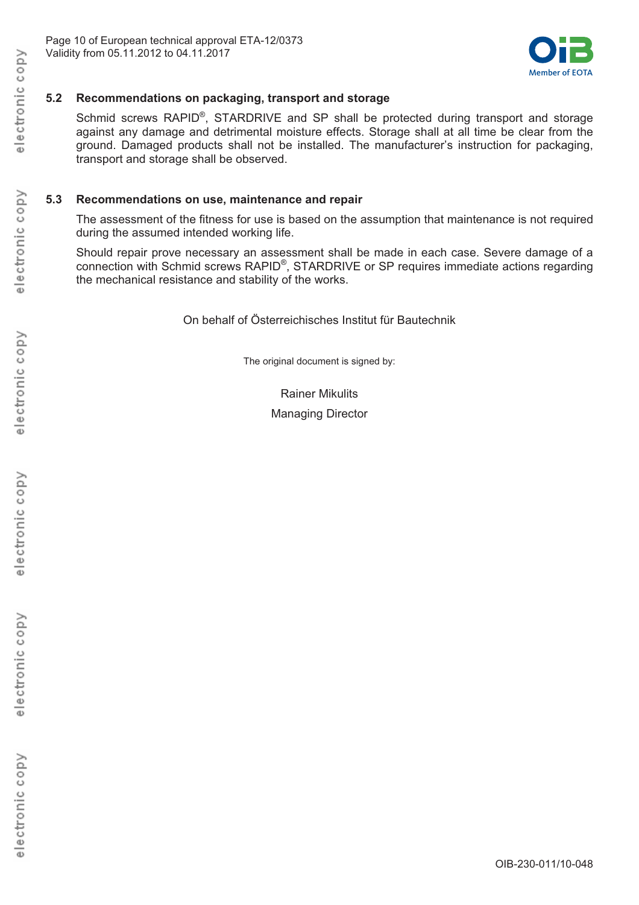

### **5.2 Recommendations on packaging, transport and storage**

Schmid screws RAPID<sup>®</sup>, STARDRIVE and SP shall be protected during transport and storage against any damage and detrimental moisture effects. Storage shall at all time be clear from the ground. Damaged products shall not be installed. The manufacturer's instruction for packaging, transport and storage shall be observed.

#### **5.3 Recommendations on use, maintenance and repair**

The assessment of the fitness for use is based on the assumption that maintenance is not required during the assumed intended working life.

Should repair prove necessary an assessment shall be made in each case. Severe damage of a connection with Schmid screws RAPID®, STARDRIVE or SP requires immediate actions regarding the mechanical resistance and stability of the works.

On behalf of Österreichisches Institut für Bautechnik

The original document is signed by:

Rainer Mikulits Managing Director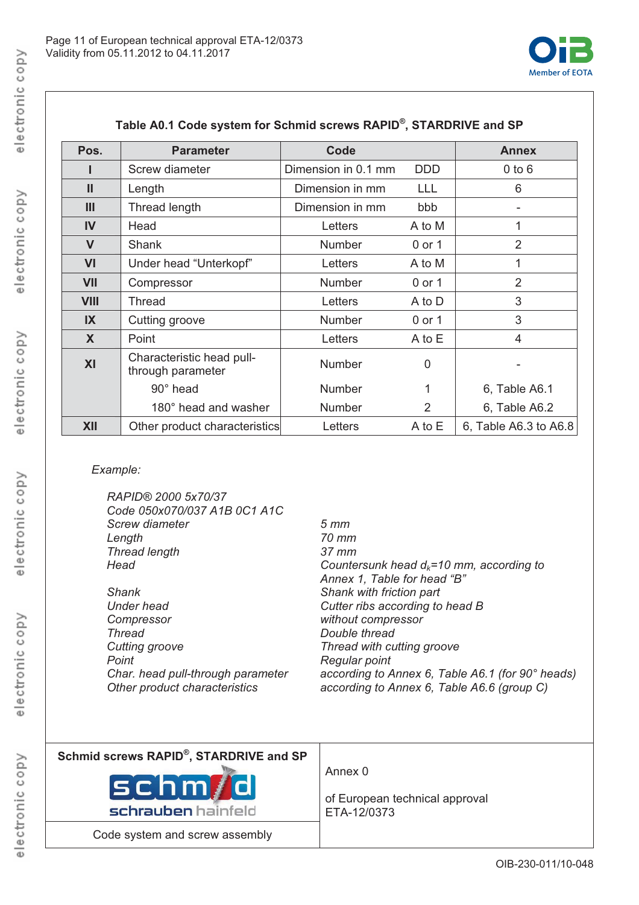

| Pos.         | <b>Parameter</b>                               | Code                |                | <b>Annex</b>          |
|--------------|------------------------------------------------|---------------------|----------------|-----------------------|
|              | Screw diameter                                 | Dimension in 0.1 mm | <b>DDD</b>     | $0$ to $6$            |
| Ш            | Length                                         | Dimension in mm     | LLL            | 6                     |
| III          | Thread length                                  | Dimension in mm     | bbb            |                       |
| IV           | Head                                           | Letters             | A to M         | 1                     |
| $\mathsf{V}$ | Shank                                          | Number              | 0 or 1         | $\overline{2}$        |
| VI           | Under head "Unterkopf"                         | Letters             | A to M         | 1                     |
| <b>VII</b>   | Compressor                                     | Number              | 0 or 1         | $\overline{2}$        |
| <b>VIII</b>  | Thread                                         | Letters             | A to D         | 3                     |
| IX           | Cutting groove                                 | Number              | 0 or 1         | 3                     |
| X            | Point                                          | Letters             | A to E         | 4                     |
| XI           | Characteristic head pull-<br>through parameter | Number              | $\overline{0}$ |                       |
|              | 90° head                                       | Number              |                | 6, Table A6.1         |
|              | 180° head and washer                           | Number              | $\overline{2}$ | 6, Table A6.2         |
| XII          | Other product characteristics                  | Letters             | A to E         | 6, Table A6.3 to A6.8 |

# **Table A0.1 Code system for Schmid screws RAPID®, STARDRIVE and SP**

 *Example:* 

 *RAPID® 2000 5x70/37 Code 050x070/037 A1B 0C1 A1C Screw diameter 5 mm*  Length  *Thread length 37 mm Head Countersunk head d<sub>k</sub>=10 mm, according to Countersunk head d<sub>k</sub>=10 mm, according to Annex 1, Table for head "B" Shank Shank with friction part Under head Cutter ribs according to head B Compressor without compressor Thread Double thread Cutting groove Thread with cutting groove Point Point Point Regular point Char. head pull-through parameter according to Annex 6, Table A6.1 (for 90° heads) Other product characteristics according to Annex 6, Table A6.6 (group C)* 

| Schmid screws RAPID®, STARDRIVE and SP<br>schm/d<br>schrauben hainfeld | Annex 0<br>of European technical approval<br>ETA-12/0373 |
|------------------------------------------------------------------------|----------------------------------------------------------|
| Code system and screw assembly                                         |                                                          |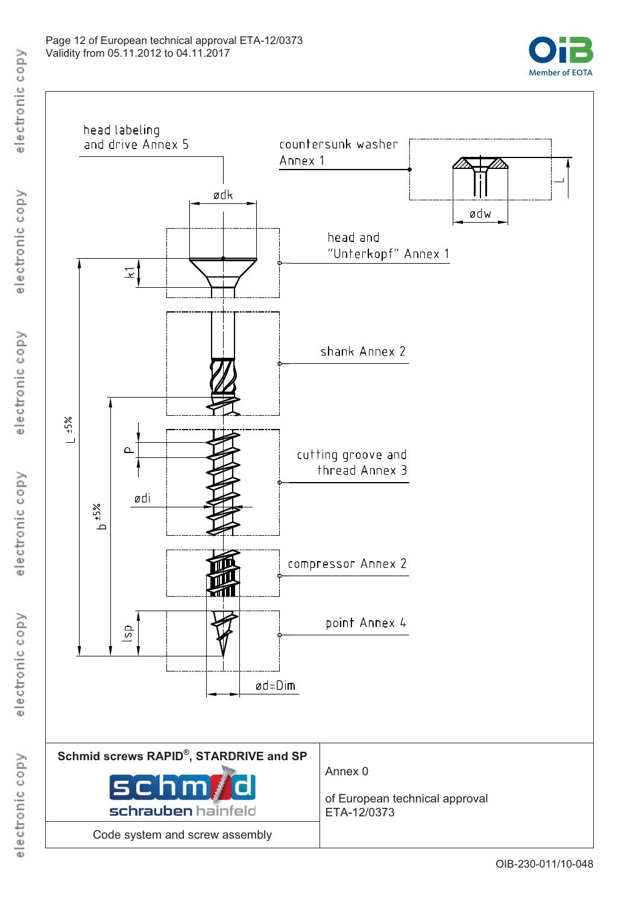

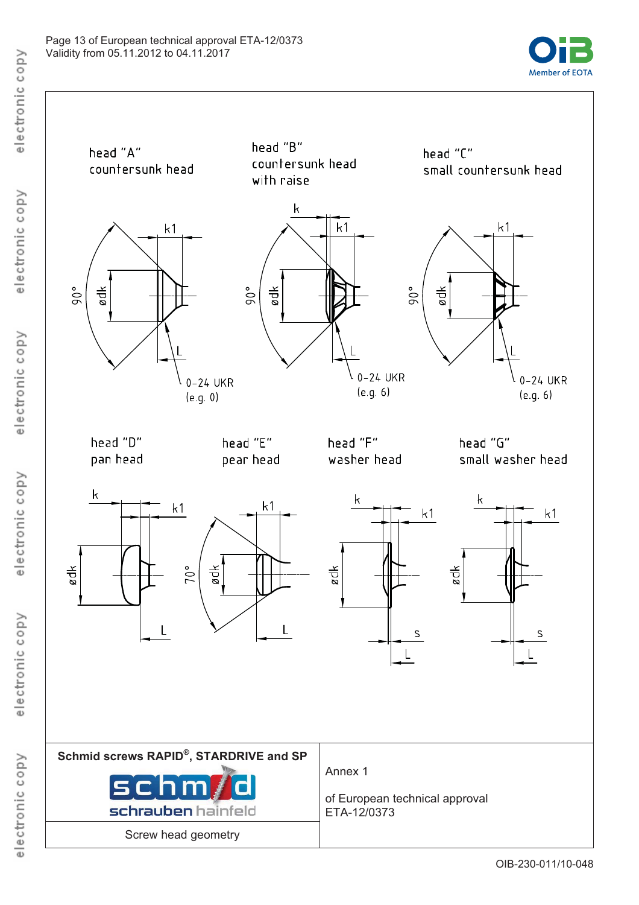

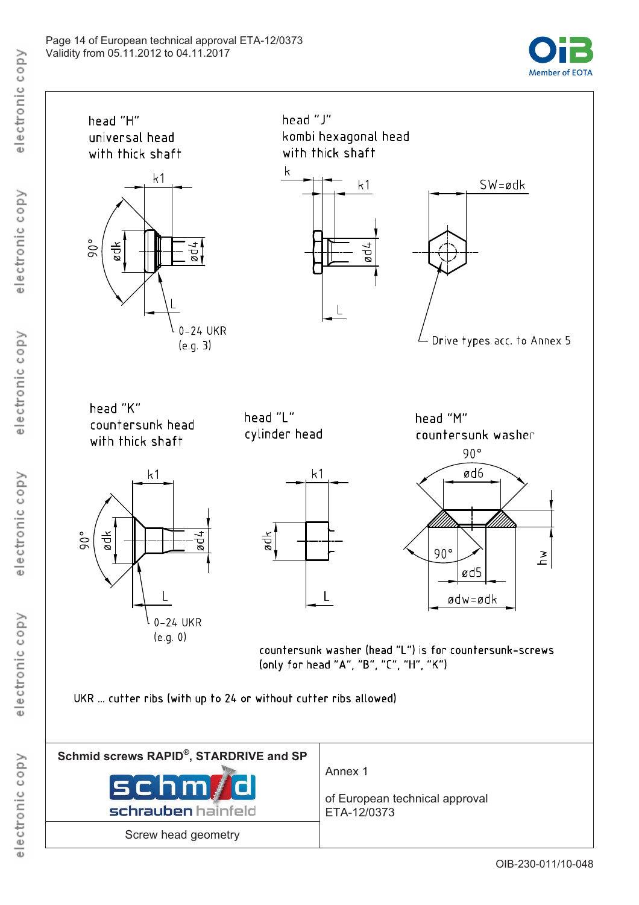Screw head geometry





OIB-230-011/10-048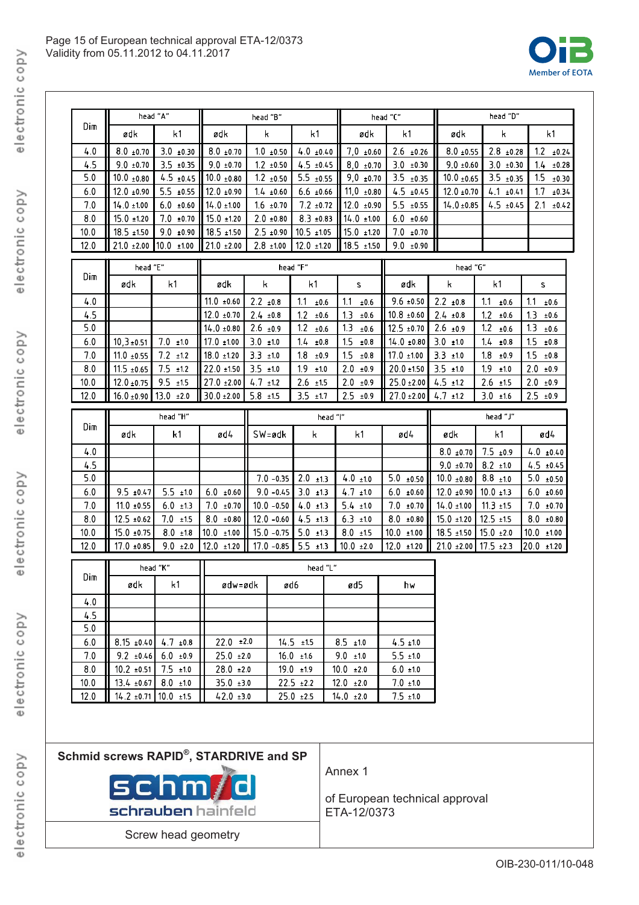

|       | head "A"        |                 |                 | head "B"       |                          |          |                 | head "C"        |                 |                 | head "D"       |      |                |
|-------|-----------------|-----------------|-----------------|----------------|--------------------------|----------|-----------------|-----------------|-----------------|-----------------|----------------|------|----------------|
| Dim   | ødk             | k1              | ødk             | k              | k1                       |          | ødk             |                 | k1              | ødk             | k              |      | k1             |
| 4.0   | $8.0 \pm 0.70$  | $3.0 + 0.30$    | $8.0 \pm 0.70$  | $1.0 \pm 0.50$ | $4.0 \pm 0.40$           |          | $7.0 \pm 0.60$  |                 | $2.6 \pm 0.26$  | $8.0 \pm 0.55$  | $2.8 \pm 0.28$ |      | 1.2<br>±0.24   |
| 4.5   | $9.0 \pm 0.70$  | $3.5 \pm 0.35$  | $9.0 \pm 0.70$  | $1.2 \pm 0.50$ | $4.5 \pm 0.45$           |          | $8.0 \pm 0.70$  |                 | $3.0 + 0.30$    | $9.0 \pm 0.60$  | $3.0 + 0.30$   |      | 1.4<br>±0.28   |
| 5.0   | $10.0 + 0.80$   | $4.5 \pm 0.45$  | $10.0 + 0.80$   | $1.2 \pm 0.50$ | $5.5 \pm 0.55$           |          | $9.0 \pm 0.70$  |                 | $3.5 + 0.35$    | $10.0 + 0.65$   | $3.5 + 0.35$   | 1.5  | ±0.30          |
| 6.0   | $12.0 \pm 0.90$ | $5.5 \pm 0.55$  | $12.0 \pm 0.90$ | $1.4 \pm 0.60$ | $6.6 \pm 0.66$           |          | $11,0 +0.80$    |                 | $4.5 \pm 0.45$  | $12.0 \pm 0.70$ | 4.1<br>±0.41   | 1.7  | ±0.34          |
| 7.0   | $14.0 \pm 1.00$ | $6.0 \pm 0.60$  | $14.0 \pm 1.00$ | $1.6 \pm 0.70$ | $7.2 \pm 0.72$           |          | $12.0 \pm 0.90$ |                 | $5.5 \pm 0.55$  | $14.0 \pm 0.85$ | $4.5 \pm 0.45$ | 2.1  | ±0.42          |
| 8.0   | $15.0 \pm 1.20$ | $7.0 \pm 0.70$  | $15.0 \pm 1.20$ | $2.0 \pm 0.80$ | $8.3 \pm 0.83$           |          | $14.0 \pm 1.00$ |                 | $6.0 + 0.60$    |                 |                |      |                |
| 10.0  | $18.5 \pm 1.50$ | $9.0 \pm 0.90$  | $18.5 \pm 1.50$ | $2.5 \pm 0.90$ | $10.5 \pm 1.05$          |          | $15.0 \pm 1.20$ |                 | $7.0 + 0.70$    |                 |                |      |                |
| 12.0  | $21.0 \pm 2.00$ | $10.0 \pm 1.00$ | $21.0 \pm 2.00$ | $2.8 \pm 1.00$ | $12.0 \pm 1.20$          |          | $18.5 \pm 1.50$ |                 | $9.0 + 0.90$    |                 |                |      |                |
|       | head "E"        |                 |                 |                | head "F"                 |          |                 |                 |                 | head "G"        |                |      |                |
| Dim   | ødk             | k1              | ødk             | k              | k1                       |          | s               |                 | ødk             | k               | k1             |      | s              |
| 4.0   |                 |                 | $11.0 \pm 0.60$ | $2.2 \pm 0.8$  | 1.1<br>±0.6              |          | 1.1<br>±0.6     |                 | $9.6 \pm 0.50$  | $2.2 \pm 0.8$   | 1.1<br>±0.6    | 1.1  | ±0.6           |
| 4.5   |                 |                 | $12.0 \pm 0.70$ | $2.4 \pm 0.8$  | 1.2<br>±0.6              |          | 1.3<br>±0.6     |                 | $10.8 \pm 0.60$ | $2.4 \pm 0.8$   | 1.2<br>±0.6    | 1.3  | ±0.6           |
| 5.0   |                 |                 | $14.0 \pm 0.80$ | $2.6 \pm 0.9$  | 1.2 <sub>2</sub><br>±0.6 |          | 1.3<br>±0.6     |                 | $12.5 \pm 0.70$ | $2.6 \pm 0.9$   | 1.2<br>±0.6    | 1.3  | ±0.6           |
| 6.0   | $10, 3 + 0.51$  | $7.0 \pm 1.0$   | $17.0 \pm 1.00$ | $3.0 + 1.0$    | 1.4<br>±0.8              |          | 1.5<br>±0.8     |                 | $14.0 \pm 0.80$ | $3.0 + 1.0$     | 1.4<br>±0.8    | 1.5  | ±0.8           |
| 7.0   | $11.0 \pm 0.55$ | $7.2 \pm 1.2$   | $18.0 \pm 1.20$ | $3.3 \pm 1.0$  | 1.8<br>±0.9              |          | 1.5<br>±0.8     |                 | $17.0 \pm 1.00$ | $3.3 \pm 1.0$   | 1.8<br>±0.9    | 1.5  | ±0.8           |
| 8.0   | $11.5 \pm 0.65$ | $7.5 \pm 1.2$   | $22.0 \pm 1.50$ | $3.5 \pm 1.0$  | 1.9<br>±1.0              |          | 2.0<br>±0.9     |                 | $20.0 \pm 1.50$ | $3.5 + 1.0$     | 1.9<br>±1.0    |      | $2.0 \pm 0.9$  |
| 10.0  | $12.0 \pm 0.75$ | $9.5 \pm 1.5$   | $27.0 \pm 2.00$ | $4.7 \pm 1.2$  | $2.6$ ±1.5               |          | 2.0<br>±0.9     |                 | $25.0 \pm 2.00$ | $4.5 \pm 1.2$   | $2.6 \pm 1.5$  |      | $2.0 + 0.9$    |
| 12.0  | $16.0 \pm 0.90$ | $13.0 \pm 2.0$  | $30.0 + 2.00$   | $5.8 \pm 1.5$  | 3.5<br>±1.7              |          | 2.5<br>±0.9     |                 | $27.0 \pm 2.00$ | $4.7 \pm 1.2$   | $3.0 + 1.6$    |      | $2.5 \pm 0.9$  |
|       |                 | head "H"        |                 |                |                          | head "I" |                 |                 | head "J"        |                 |                |      |                |
| Dim   | ødk             | k1              | ød4             | $SW = adk$     | k                        |          | k1              |                 | ød4             | ødk             | k1             |      | ød4            |
| 4.0   |                 |                 |                 |                |                          |          |                 |                 |                 | $8.0 \pm 0.70$  | $7.5 \pm 0.9$  |      | $4.0 \pm 0.40$ |
| 4.5   |                 |                 |                 |                |                          |          |                 |                 |                 | $9.0 \pm 0.70$  | $8.2 \pm 1.0$  |      | $4.5 \pm 0.45$ |
| 5.0   |                 |                 |                 | $7.0 - 0.35$   | $2.0 + 1.3$              |          | $4.0 \pm 1.0$   |                 | $5.0 + 0.50$    | $10.0 \pm 0.80$ | $8.8 \pm 1.0$  |      | $5.0 + 0.50$   |
| 6.0   | $9.5 \pm 0.47$  | $5.5 \pm 1.0$   | $6.0 + 0.60$    | $9.0 - 0.45$   | $3.0 \pm 1.3$            |          | $4.7 \pm 1.0$   |                 | $6.0 \pm 0.60$  | $12.0 \pm 0.90$ | $10.0 \pm 1.3$ |      | $6.0 \pm 0.60$ |
| 7.0   | $11.0 \pm 0.55$ | $6.0 \pm 1.3$   | $7.0 + 0.70$    | $10.0 - 0.50$  | $4.0 \pm 1.3$            |          | $5.4 \pm 1.0$   | 7.0             | ±0.70           | $14.0 \pm 1.00$ | $11.3 \pm 1.5$ | 7.0  | ±0.70          |
| 8.0   | $12.5 \pm 0.62$ | 7.0<br>±1.5     | $8.0 \pm 0.80$  | $12.0 - 0.60$  | $4.5 \pm 1.3$            |          | $6.3 \pm 1.0$   | 8.0             | ±0.80           | $15.0 \pm 1.20$ | $12.5 \pm 1.5$ | 8.0  | ±0.80          |
| 10.0  | $15.0 \pm 0.75$ | $8.0 \pm 1.8$   | $10.0 + 1.00$   | $15.0 - 0.75$  | $5.0 \pm 1.3$            |          | $8.0 + 1.5$     |                 | $10.0 \pm 1.00$ | $18.5 \pm 1.50$ | $15.0 \pm 2.0$ | 10.0 | ±1.00          |
| 12.0  | $17.0 \pm 0.85$ | $9.0 \pm 2.0$   | $12.0 + 1.20$   | $17.0 - 0.85$  | $5.5 \pm 1.3$            |          | $10.0 \pm 2.0$  | $12.0 \pm 1.20$ |                 | $21.0 \pm 2.00$ | $17.5 \pm 2.3$ |      | $20.0 + 1.20$  |
|       |                 | head "K"        |                 |                | head "L"                 |          |                 |                 |                 |                 |                |      |                |
| Dim   | ødk             | k1              | ødw=ødk         |                | ød6                      |          | ød5             |                 | hw              |                 |                |      |                |
| 4.0   |                 |                 |                 |                |                          |          |                 |                 |                 |                 |                |      |                |
| 4.5   |                 |                 |                 |                |                          |          |                 |                 |                 |                 |                |      |                |
| 5.0   |                 |                 |                 |                |                          |          |                 |                 |                 |                 |                |      |                |
| $6.0$ | $8.15 \pm 0.40$ | $4.7 \pm 0.8$   | $22.0 \pm 2.0$  |                | $14.5 \pm 1.5$           |          | $8.5 \pm 1.0$   |                 | $4.5 \pm 1.0$   |                 |                |      |                |
| 7.0   | $9.2 \pm 0.46$  | $6.0 \pm 0.9$   | $25.0 \pm 2.0$  |                | $16.0 + 1.6$             |          | $9.0 + 1.0$     |                 | $5.5 \pm 1.0$   |                 |                |      |                |
| 8.0   | $10.2 \pm 0.51$ | $7.5 \pm 1.0$   | $28.0 \pm 2.0$  |                | $19.0 + 1.9$             |          | $10.0 \pm 2.0$  |                 | $6.0 \pm 1.0$   |                 |                |      |                |
| 10.0  | $13.4 \pm 0.67$ | $8.0 \pm 1.0$   | $35.0 + 3.0$    |                | $22.5 \pm 2.2$           |          | $12.0 \pm 2.0$  |                 | $7.0 \pm 1.0$   |                 |                |      |                |
|       |                 |                 |                 |                |                          |          |                 |                 |                 |                 |                |      |                |

| Schmid screws RAPID®, STARDRIVE and SP |
|----------------------------------------|
|                                        |

schm/d schrauben hainfeld

Screw head geometry

# Annex 1

of European technical approval ETA-12/0373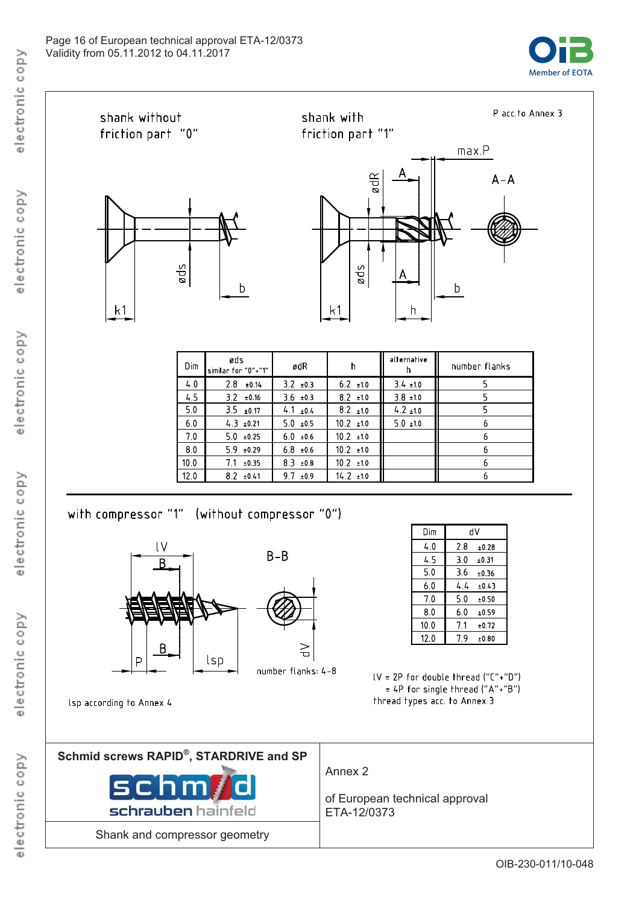



| Dim  | øds<br>similar for "0"+"1" | ødR           | h              | alternative<br>n | number flanks |
|------|----------------------------|---------------|----------------|------------------|---------------|
| 4.0  | 2.8<br>±0.14               | $3.2 \pm 0.3$ | $6.2 \pm 1.0$  | $3.4 \pm 1.0$    |               |
| 4.5  | 3.2<br>±0.16               | $3.6 \pm 0.3$ | $8.2 \pm 1.0$  | $3.8 \pm 1.0$    |               |
| 5.0  | $3.5 + 0.17$               | 4.1 $\pm 0.4$ | $8.2 \pm 1.0$  | $4.2 \pm 1.0$    |               |
| 6.0  | $4.3 \pm 0.21$             | $5.0 \pm 0.5$ | $10.2 \pm 1.0$ | $5.0 \pm 1.0$    | 6             |
| 7.0  | $5.0 + 0.25$               | $6.0 \pm 0.6$ | $10.2 \pm 1.0$ |                  | 6             |
| 8.0  | $5.9 + 0.29$               | $6.8 \pm 0.6$ | $10.2 \pm 1.0$ |                  | 6             |
| 10.0 | ±0.35<br>7.1               | $8.3 \pm 0.8$ | $10.2 \pm 1.0$ |                  | 6             |
| 12.0 | $8.2 \pm 0.41$             | $9.7 \pm 0.9$ | $14.2 \pm 1.0$ |                  | 6             |

with compressor "1" (without compressor "0")



Isp according to Annex 4

| Dim  | d٧             |
|------|----------------|
| 4.0  | 2.8<br>±0.28   |
| 4.5  | 3.0<br>$+0.31$ |
| 50   | 3.6<br>$+0.36$ |
| 6.0  | 4.4<br>±0.43   |
| 7.0  | 5.0<br>±0.50   |
| 8.0  | 6.0<br>±0.59   |
| 10.0 | 7.1<br>±0.72   |
| 12.0 | 7.9<br>±0.80   |

 $IV = 2P$  for double thread ("C"+"D")  $=$  4P for single thread ("A"+"B") thread types acc. to Annex 3

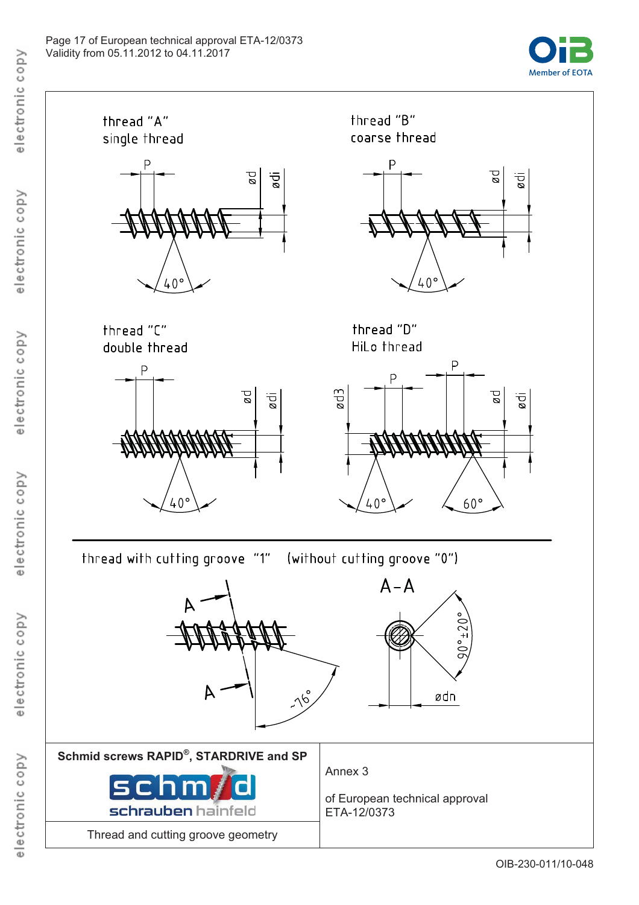

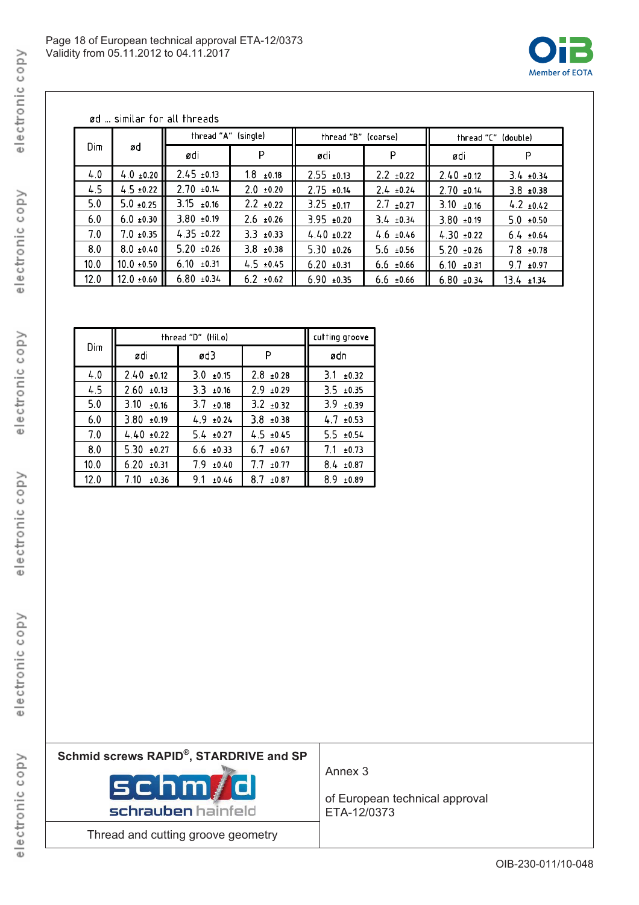

ød ... similar for all threads

|            |                 | thread "A" (single) |                | thread "B" (coarse) |                | thread "C" (double) |                |  |
|------------|-----------------|---------------------|----------------|---------------------|----------------|---------------------|----------------|--|
| Dim.<br>ød |                 | ødi                 | P              | ødi                 | P              | ødi                 | P              |  |
| 4.0        | 4.0 $\pm$ 0.20  | $2.45 \pm 0.13$     | $1.8 \pm 0.18$ | $2.55 \pm 0.13$     | $2.2 \pm 0.22$ | $2.40 \pm 0.12$     | $3.4 \pm 0.34$ |  |
| 4.5        | $4.5 \pm 0.22$  | $2.70 \pm 0.14$     | $2.0 \pm 0.20$ | $2.75 \pm 0.14$     | $2.4 \pm 0.24$ | $2.70 \pm 0.14$     | $3.8 \pm 0.38$ |  |
| 5.0        | $5.0 \pm 0.25$  | $3.15 \pm 0.16$     | $2.2 \pm 0.22$ | $3.25 + 0.17$       | $2.7 \pm 0.27$ | $3.10 \pm 0.16$     | $4.2 \pm 0.42$ |  |
| 6.0        | $6.0 \pm 0.30$  | $3.80 \pm 0.19$     | $2.6 \pm 0.26$ | $3.95 \pm 0.20$     | $3.4 \pm 0.34$ | $3.80 + 0.19$       | $5.0 \pm 0.50$ |  |
| 7.0        | $7.0 \pm 0.35$  | $4.35 \pm 0.22$     | $3.3 \pm 0.33$ | $4.40 \pm 0.22$     | $4.6 \pm 0.46$ | $4.30 \pm 0.22$     | $6.4 \pm 0.64$ |  |
| 8.0        | $8.0 \pm 0.40$  | $5.20 \pm 0.26$     | $3.8 \pm 0.38$ | $5.30 \pm 0.26$     | $5.6 \pm 0.56$ | $5.20 \pm 0.26$     | $7.8 \pm 0.78$ |  |
| 10.0       | $10.0 \pm 0.50$ | $6.10 \pm 0.31$     | $4.5 \pm 0.45$ | $6.20 \pm 0.31$     | $6.6 \pm 0.66$ | $6.10 \pm 0.31$     | $9.7 \pm 0.97$ |  |
| 12.0       | $12.0 \pm 0.60$ | $6.80 \pm 0.34$     | $6.2 \pm 0.62$ | $6.90 \pm 0.35$     | $6.6 \pm 0.66$ | $6.80 \pm 0.34$     | $13.4 + 1.34$  |  |

|      | thread "D" (HiLo) | cutting groove |                |              |
|------|-------------------|----------------|----------------|--------------|
| Dim  | ødi               | ød3            | P              | ødn          |
| 4.0  | 2.40<br>±0.12     | 3.0<br>±0.15   | 2.8<br>±0.28   | 3.1<br>±0.32 |
| 4.5  | 2.60<br>±0.13     | 3.3<br>±0.16   | $2.9 \pm 0.29$ | $3.5 + 0.35$ |
| 5.0  | 3.10<br>±0.16     | 3.7<br>±0.18   | $3.2 \pm 0.32$ | 3.9<br>±0.39 |
| 6.0  | 3.80<br>±0.19     | $4.9 \pm 0.24$ | $3.8 + 0.38$   | 4.7<br>±0.53 |
| 7.0  | $4.40 \pm 0.22$   | $5.4 \pm 0.27$ | $4.5 \pm 0.45$ | 5.5<br>±0.54 |
| 8.0  | 5.30<br>±0.27     | 6.6<br>±0.33   | 6.7<br>±0.67   | 7.1<br>±0.73 |
| 10.0 | 6.20<br>±0.31     | 7.9<br>±0.40   | 7.7<br>±0.77   | 8.4<br>±0.87 |
| 12.0 | 7.10<br>±0.36     | 9.1<br>±0.46   | 8.7<br>±0.87   | 8.9<br>±0.89 |

| Schmid screws RAPID <sup>®</sup> , STARDRIVE and SP<br>schm/d<br>schrauben hainfeld | Annex 3<br>of European technical approval<br>ETA-12/0373 |
|-------------------------------------------------------------------------------------|----------------------------------------------------------|
| Thread and cutting groove geometry                                                  |                                                          |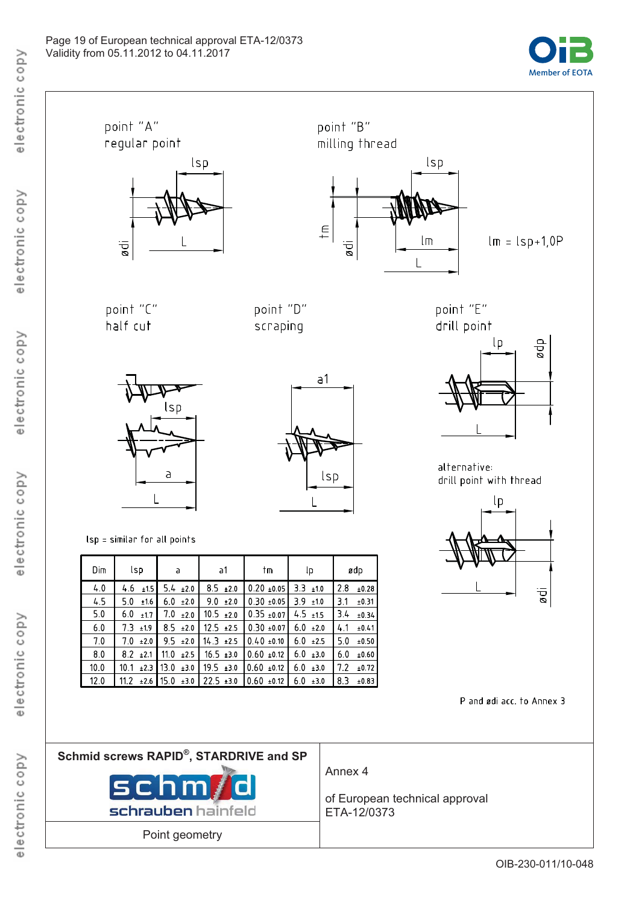



OIB-230-011/10-048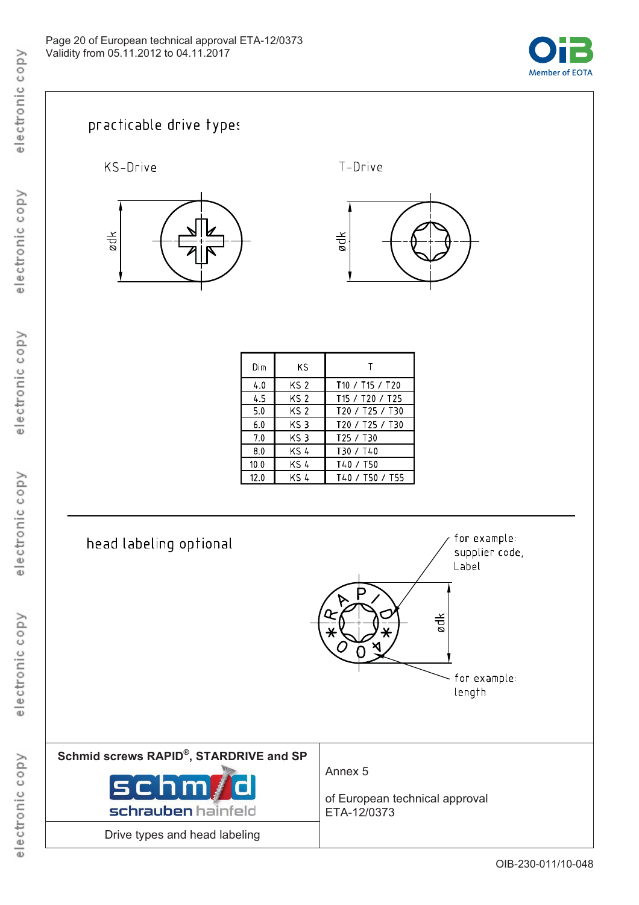

# practicable drive types

KS-Drive



T-Drive



| Dim  | KS   |                                                     |
|------|------|-----------------------------------------------------|
| 4.0  | KS 2 | T <sub>10</sub> / T <sub>15</sub> / T <sub>20</sub> |
| 4.5  | KS 2 | T <sub>15</sub> / T <sub>20</sub> / T <sub>25</sub> |
| 5.0  | KS 2 | T20 / T25 / T30                                     |
| 6.0  | KS 3 | T20 / T25 / T30                                     |
| 7.0  | KS 3 | T25 / T30                                           |
| 8.0  | KS 4 | T30 / T40                                           |
| 10.0 | KS 4 | T40 / T50                                           |
| 12.0 | KS 4 | T40 / T50 / T55                                     |

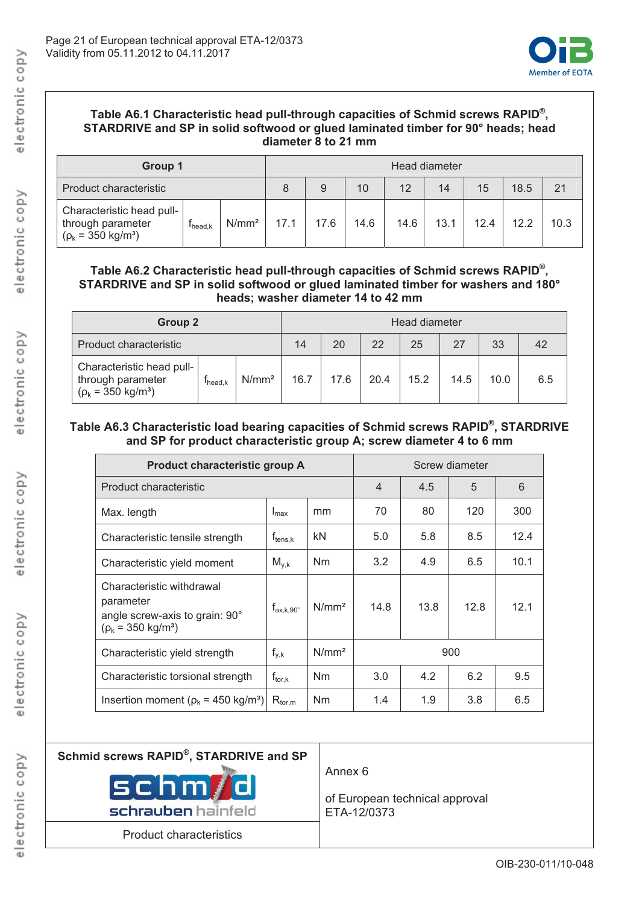

#### **Table A6.1 Characteristic head pull-through capacities of Schmid screws RAPID®, STARDRIVE and SP in solid softwood or glued laminated timber for 90° heads; head diameter 8 to 21 mm**

| Group 1                                                                        |         | Head diameter     |      |      |      |      |      |      |      |      |
|--------------------------------------------------------------------------------|---------|-------------------|------|------|------|------|------|------|------|------|
| Product characteristic                                                         |         |                   | 8    |      | 10   | 12   | 14   | 15   | 18.5 | 21   |
| Characteristic head pull-<br>through parameter<br>$(p_k = 350 \text{ kg/m}^3)$ | Ihead.k | N/mm <sup>2</sup> | 17.1 | 17.6 | 14.6 | 14.6 | 13.1 | 12.4 | 12.2 | 10.3 |

#### **Table A6.2 Characteristic head pull-through capacities of Schmid screws RAPID®, STARDRIVE and SP in solid softwood or glued laminated timber for washers and 180° heads; washer diameter 14 to 42 mm**

| Group 2                                                                        |                     |                   |      |      |      | Head diameter |      |      |     |
|--------------------------------------------------------------------------------|---------------------|-------------------|------|------|------|---------------|------|------|-----|
| Product characteristic                                                         |                     |                   | 14   | 20   | 22   | 25            | 27   | 33   | 42  |
| Characteristic head pull-<br>through parameter<br>$(p_k = 350 \text{ kg/m}^3)$ | I <sub>head.k</sub> | N/mm <sup>2</sup> | 16.7 | 17.6 | 20.4 | 15.2          | 14.5 | 10.0 | 6.5 |

# **Table A6.3 Characteristic load bearing capacities of Schmid screws RAPID®, STARDRIVE and SP for product characteristic group A; screw diameter 4 to 6 mm**

| Product characteristic group A                                                                           |                                                      |                   | Screw diameter |      |      |      |
|----------------------------------------------------------------------------------------------------------|------------------------------------------------------|-------------------|----------------|------|------|------|
| Product characteristic                                                                                   |                                                      |                   |                |      | 5    | 6    |
| Max. length                                                                                              | $I_{\text{max}}$                                     | mm                | 70             | 80   | 120  | 300  |
| Characteristic tensile strength                                                                          | $\boldsymbol{\mathsf{f}}_{\mathsf{tens},\mathsf{k}}$ | kN                | 5.0            | 5.8  | 8.5  | 12.4 |
| Characteristic yield moment                                                                              | $M_{y,k}$                                            | N <sub>m</sub>    | 3.2            | 4.9  | 6.5  | 10.1 |
| Characteristic withdrawal<br>parameter<br>angle screw-axis to grain: 90°<br>$(p_k = 350 \text{ kg/m}^3)$ | $f_{ax,k,90^{\circ}}$                                | N/mm <sup>2</sup> | 14.8           | 13.8 | 12.8 | 12.1 |
| Characteristic yield strength                                                                            | $f_{y,k}$                                            | N/mm <sup>2</sup> |                |      | 900  |      |
| Characteristic torsional strength                                                                        | $f_{\rm tor, k}$                                     | N <sub>m</sub>    | 3.0            | 4.2  | 6.2  | 9.5  |
| Insertion moment ( $\rho_k$ = 450 kg/m <sup>3</sup> )                                                    | $\mathsf{R}_{\mathsf{tor},\mathsf{m}}$               | N <sub>m</sub>    | 1.4            | 1.9  | 3.8  | 6.5  |

| Schmid screws RAPID®, STARDRIVE and SP |  |
|----------------------------------------|--|
|                                        |  |



Product characteristics

# Annex 6

of European technical approval ETA-12/0373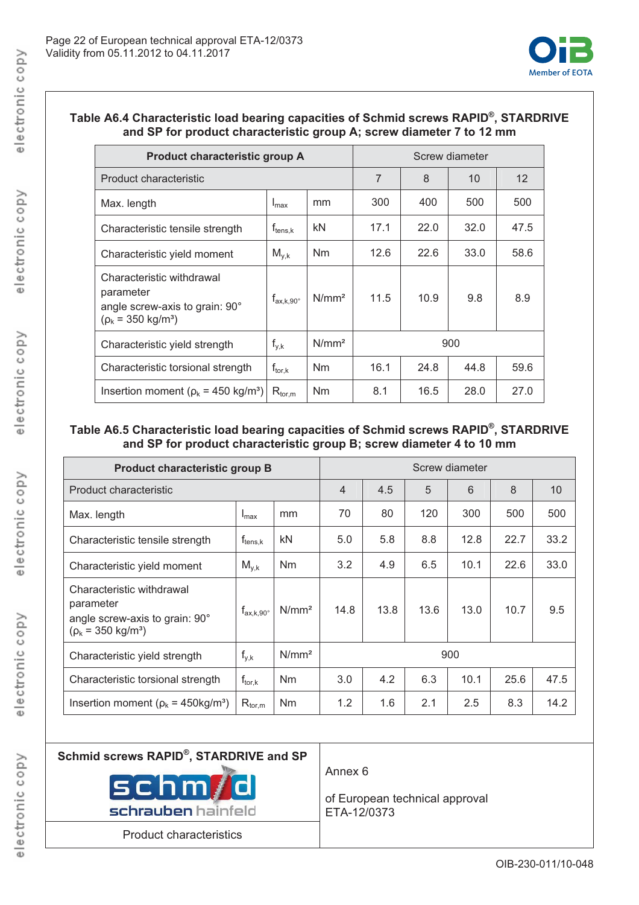

# **Table A6.4 Characteristic load bearing capacities of Schmid screws RAPID®, STARDRIVE and SP for product characteristic group A; screw diameter 7 to 12 mm**

| Product characteristic group A                                                                           | Screw diameter          |                   |      |      |      |                   |
|----------------------------------------------------------------------------------------------------------|-------------------------|-------------------|------|------|------|-------------------|
| Product characteristic                                                                                   |                         |                   |      | 8    | 10   | $12 \overline{ }$ |
| Max. length                                                                                              | $I_{\text{max}}$        | mm                | 300  | 400  | 500  | 500               |
| Characteristic tensile strength                                                                          | $f_{\rm tens, k}$       | kN                | 17.1 | 22.0 | 32.0 | 47.5              |
| Characteristic yield moment                                                                              | $M_{v,k}$               | Nm                | 12.6 | 22.6 | 33.0 | 58.6              |
| Characteristic withdrawal<br>parameter<br>angle screw-axis to grain: 90°<br>$(p_k = 350 \text{ kg/m}^3)$ | $t_{\rm ax,k,90^\circ}$ | N/mm <sup>2</sup> | 11.5 | 10.9 | 9.8  | 8.9               |
| Characteristic yield strength                                                                            | $f_{y,k}$               | N/mm <sup>2</sup> |      |      | 900  |                   |
| Characteristic torsional strength                                                                        | $f_{\text{tor},k}$      | Nm                | 16.1 | 24.8 | 44.8 | 59.6              |
| Insertion moment ( $\rho_k$ = 450 kg/m <sup>3</sup> )                                                    | $R_{tor,m}$             | N <sub>m</sub>    | 8.1  | 16.5 | 28.0 | 27.0              |

# **Table A6.5 Characteristic load bearing capacities of Schmid screws RAPID®, STARDRIVE and SP for product characteristic group B; screw diameter 4 to 10 mm**

| <b>Product characteristic group B</b>                                                                    |                       |                   | Screw diameter |      |      |      |      |      |
|----------------------------------------------------------------------------------------------------------|-----------------------|-------------------|----------------|------|------|------|------|------|
| Product characteristic                                                                                   |                       |                   | 4              | 4.5  | 5    | 6    | 8    | 10   |
| Max. length                                                                                              | $I_{\text{max}}$      | mm                | 70             | 80   | 120  | 300  | 500  | 500  |
| Characteristic tensile strength                                                                          | $f_{\sf tens, k}$     | kN                | 5.0            | 5.8  | 8.8  | 12.8 | 22.7 | 33.2 |
| Characteristic yield moment                                                                              | $M_{v,k}$             | <b>Nm</b>         | 3.2            | 4.9  | 6.5  | 10.1 | 22.6 | 33.0 |
| Characteristic withdrawal<br>parameter<br>angle screw-axis to grain: 90°<br>$(p_k = 350 \text{ kg/m}^3)$ | $f_{ax,k,90^{\circ}}$ | N/mm <sup>2</sup> | 14.8           | 13.8 | 13.6 | 13.0 | 10.7 | 9.5  |
| Characteristic yield strength                                                                            | $f_{y,k}$             | N/mm <sup>2</sup> |                |      |      | 900  |      |      |
| Characteristic torsional strength                                                                        | $f_{\text{tor},k}$    | N <sub>m</sub>    | 3.0            | 4.2  | 6.3  | 10.1 | 25.6 | 47.5 |
| Insertion moment ( $\rho_k$ = 450kg/m <sup>3</sup> )                                                     | $R_{tor,m}$           | Nm                | 1.2            | 1.6  | 2.1  | 2.5  | 8.3  | 14.2 |

| Schmid screws $\mathsf{RAPID}^\circledast$ , STARDRIVE and SP |
|---------------------------------------------------------------|
| SChM /                                                        |

Product characteristics

# Annex 6

of European technical approval ETA-12/0373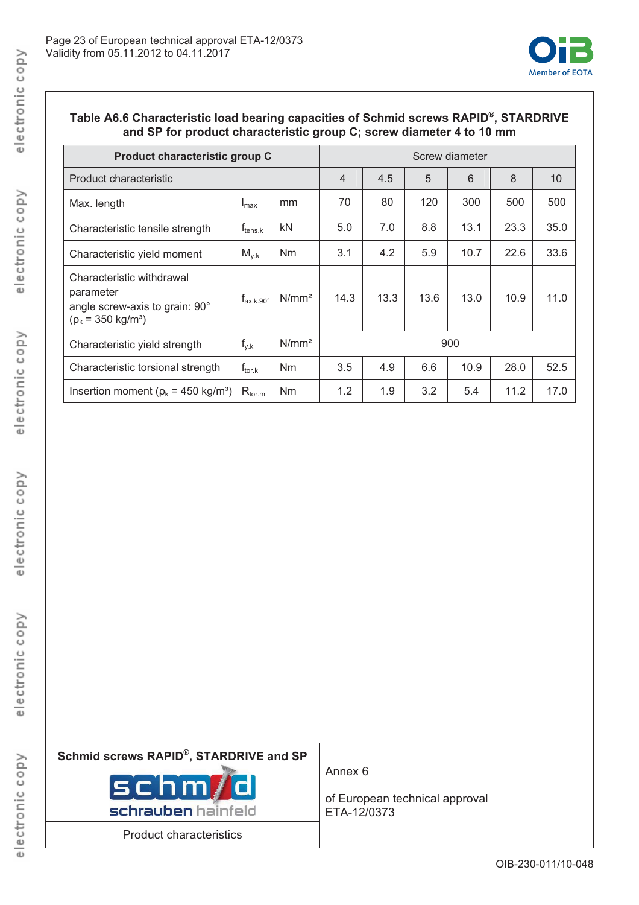

# **Table A6.6 Characteristic load bearing capacities of Schmid screws RAPID®, STARDRIVE and SP for product characteristic group C; screw diameter 4 to 10 mm**

| Product characteristic group C                                                                           |                       |                   | Screw diameter |      |      |      |      |      |  |
|----------------------------------------------------------------------------------------------------------|-----------------------|-------------------|----------------|------|------|------|------|------|--|
| Product characteristic                                                                                   |                       |                   | $\overline{4}$ | 4.5  | 5    | 6    | 8    | 10   |  |
| Max. length                                                                                              | $I_{\text{max}}$      | mm                | 70             | 80   | 120  | 300  | 500  | 500  |  |
| Characteristic tensile strength                                                                          | $f_{\text{tens.k}}$   | kN                | 5.0            | 7.0  | 8.8  | 13.1 | 23.3 | 35.0 |  |
| Characteristic yield moment                                                                              | $M_{v.k}$             | N <sub>m</sub>    | 3.1            | 4.2  | 5.9  | 10.7 | 22.6 | 33.6 |  |
| Characteristic withdrawal<br>parameter<br>angle screw-axis to grain: 90°<br>$(p_k = 350 \text{ kg/m}^3)$ | $f_{ax.k.90^{\circ}}$ | N/mm <sup>2</sup> | 14.3           | 13.3 | 13.6 | 13.0 | 10.9 | 11.0 |  |
| Characteristic yield strength                                                                            | $f_{y,k}$             | N/mm <sup>2</sup> | 900            |      |      |      |      |      |  |
| Characteristic torsional strength                                                                        | $f_{\text{tor.}k}$    | <b>Nm</b>         | 3.5            | 4.9  | 6.6  | 10.9 | 28.0 | 52.5 |  |
| Insertion moment ( $\rho_k$ = 450 kg/m <sup>3</sup> )                                                    | $R_{tor.m}$           | <b>Nm</b>         | 1.2            | 1.9  | 3.2  | 5.4  | 11.2 | 17.0 |  |

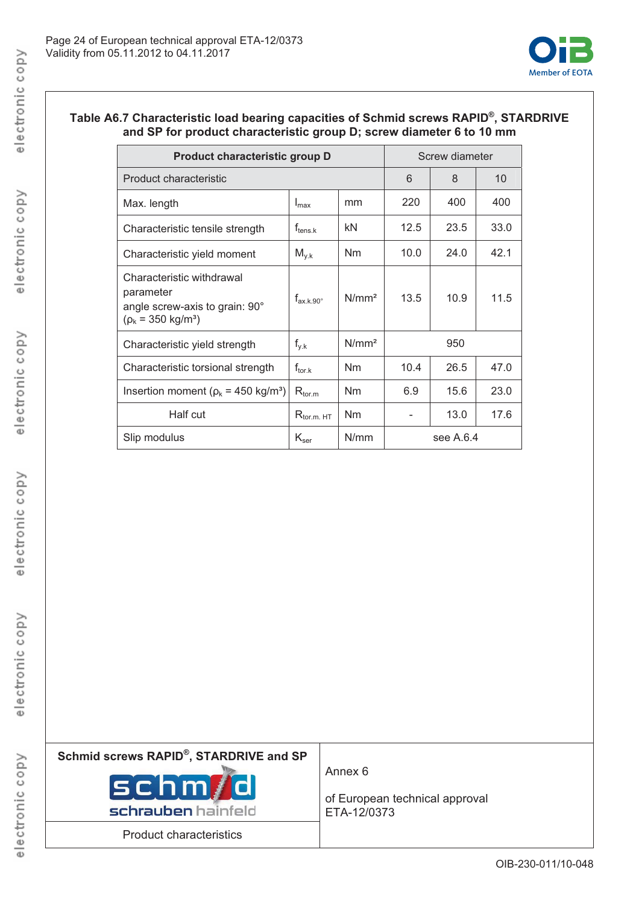

### **Table A6.7 Characteristic load bearing capacities of Schmid screws RAPID®, STARDRIVE and SP for product characteristic group D; screw diameter 6 to 10 mm**

| Product characteristic group D                                                                           | <b>Screw diameter</b> |                   |      |             |      |
|----------------------------------------------------------------------------------------------------------|-----------------------|-------------------|------|-------------|------|
| Product characteristic                                                                                   | 6                     | 8                 | 10   |             |      |
| Max. length                                                                                              | $I_{\text{max}}$      | mm                | 220  | 400         | 400  |
| Characteristic tensile strength                                                                          | $f_{\sf tens.k}$      | kN                | 12.5 | 23.5        | 33.0 |
| Characteristic yield moment                                                                              | $M_{y.k}$             | N <sub>m</sub>    | 10.0 | 24.0        | 42.1 |
| Characteristic withdrawal<br>parameter<br>angle screw-axis to grain: 90°<br>$(p_k = 350 \text{ kg/m}^3)$ | $f_{ax.k.90^{\circ}}$ | N/mm <sup>2</sup> | 13.5 | 10.9        | 11.5 |
| Characteristic yield strength                                                                            | $f_{y,k}$             | N/mm <sup>2</sup> |      | 950         |      |
| Characteristic torsional strength                                                                        | $f_{\text{tor.}k}$    | N <sub>m</sub>    | 10.4 | 26.5        | 47.0 |
| Insertion moment ( $\rho_k$ = 450 kg/m <sup>3</sup> )                                                    | $R_{tor.m}$           | <b>Nm</b>         | 6.9  | 15.6        | 23.0 |
| Half cut                                                                                                 | $R_{tor.m. HT}$       | Nm                |      | 13.0        | 17.6 |
| Slip modulus                                                                                             | $K_{ser}$             | N/mm              |      | see $A.6.4$ |      |

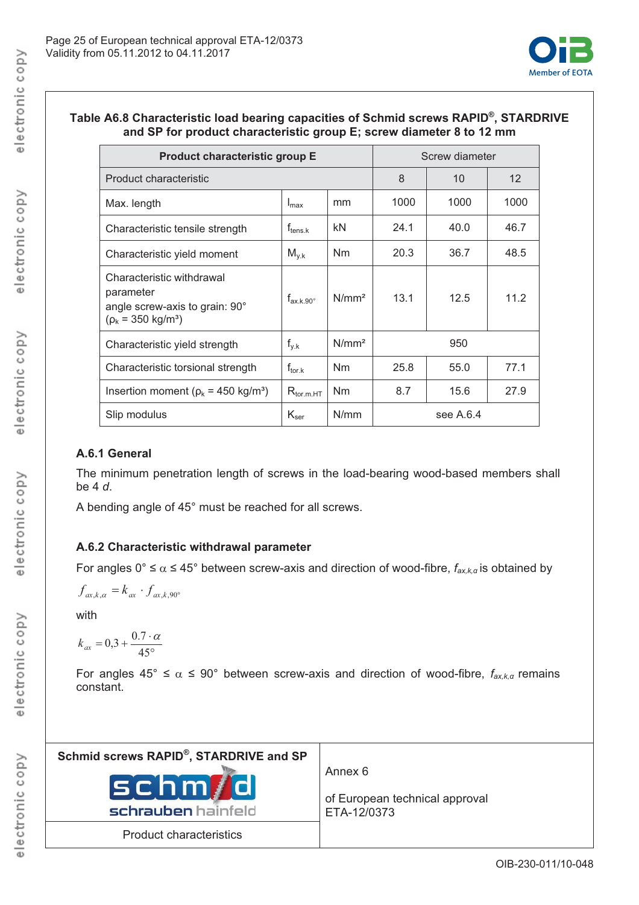

### **Table A6.8 Characteristic load bearing capacities of Schmid screws RAPID®, STARDRIVE and SP for product characteristic group E; screw diameter 8 to 12 mm**

| <b>Product characteristic group E</b>                                                                    |                       |                   |      | Screw diameter    |      |
|----------------------------------------------------------------------------------------------------------|-----------------------|-------------------|------|-------------------|------|
| Product characteristic                                                                                   |                       | 8                 | 10   | $12 \overline{ }$ |      |
| Max. length                                                                                              | $I_{\text{max}}$      | mm                | 1000 | 1000              | 1000 |
| Characteristic tensile strength                                                                          | $f_{\sf tens.k}$      | kN                | 24.1 | 40.0              | 46.7 |
| Characteristic yield moment                                                                              | $M_{y.k}$             | N <sub>m</sub>    | 20.3 | 36.7              | 48.5 |
| Characteristic withdrawal<br>parameter<br>angle screw-axis to grain: 90°<br>$(p_k = 350 \text{ kg/m}^3)$ | $f_{ax.k.90^{\circ}}$ | N/mm <sup>2</sup> | 13.1 | 12.5              | 11.2 |
| Characteristic yield strength                                                                            | $f_{y,k}$             | N/mm <sup>2</sup> |      | 950               |      |
| Characteristic torsional strength                                                                        | $f_{\text{tor.}k}$    | <b>Nm</b>         | 25.8 | 55.0              | 77.1 |
| Insertion moment ( $\rho_k$ = 450 kg/m <sup>3</sup> )                                                    | $R_{tor.m. HT}$       | <b>Nm</b>         | 8.7  | 15.6              | 27.9 |
| Slip modulus                                                                                             | $K_{\rm ser}$         | N/mm              |      | see $A.6.4$       |      |

# **A.6.1 General**

The minimum penetration length of screws in the load-bearing wood-based members shall be 4 *d*.

A bending angle of 45° must be reached for all screws.

# **A.6.2 Characteristic withdrawal parameter**

For angles  $0^{\circ} \leq \alpha \leq 45^{\circ}$  between screw-axis and direction of wood-fibre,  $f_{ax,k,\alpha}$  is obtained by

$$
f_{\alpha\mathbf{x},k,\alpha} = k_{\alpha\mathbf{x}} \cdot f_{\alpha\mathbf{x},k,90^{\circ}}
$$

with

$$
k_{ax} = 0.3 + \frac{0.7 \cdot \alpha}{45^{\circ}}
$$

For angles  $45^{\circ} \le \alpha \le 90^{\circ}$  between screw-axis and direction of wood-fibre,  $f_{ax,k,\alpha}$  remains constant.

| Schmid screws RAPID <sup>®</sup> , STARDRIVE and SP |                                               |
|-----------------------------------------------------|-----------------------------------------------|
|                                                     | Annex 6                                       |
| schm/d<br>schrauben hainfeld                        | of European technical approval<br>ETA-12/0373 |
| <b>Product characteristics</b>                      |                                               |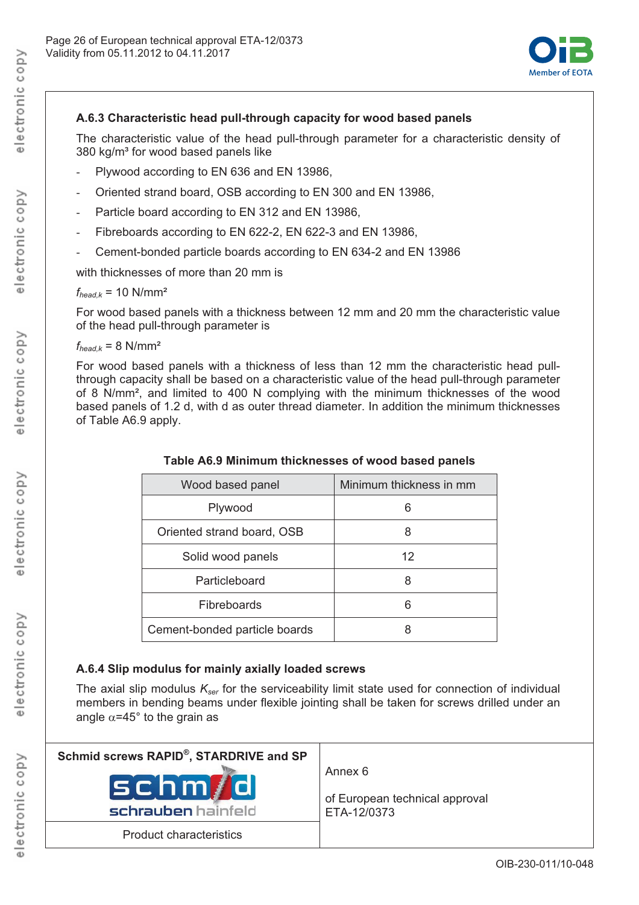

### **A.6.3 Characteristic head pull-through capacity for wood based panels**

The characteristic value of the head pull-through parameter for a characteristic density of  $380$  kg/m<sup>3</sup> for wood based panels like

- Plywood according to EN 636 and EN 13986,
- Oriented strand board, OSB according to EN 300 and EN 13986,
- Particle board according to EN 312 and EN 13986,
- Fibreboards according to EN 622-2, EN 622-3 and EN 13986,
- Cement-bonded particle boards according to EN 634-2 and EN 13986

with thicknesses of more than 20 mm is

# $f_{head,k}$  = 10 N/mm<sup>2</sup>

For wood based panels with a thickness between 12 mm and 20 mm the characteristic value of the head pull-through parameter is

#### $f_{head,k} = 8$  N/mm<sup>2</sup>

For wood based panels with a thickness of less than 12 mm the characteristic head pullthrough capacity shall be based on a characteristic value of the head pull-through parameter of 8 N/mm², and limited to 400 N complying with the minimum thicknesses of the wood based panels of 1.2 d, with d as outer thread diameter. In addition the minimum thicknesses of Table A6.9 apply.

| Wood based panel              | Minimum thickness in mm |
|-------------------------------|-------------------------|
| Plywood                       | Ⴌ                       |
| Oriented strand board, OSB    |                         |
| Solid wood panels             | 12                      |
| Particleboard                 |                         |
| <b>Fibreboards</b>            | 6                       |
| Cement-bonded particle boards |                         |

# **Table A6.9 Minimum thicknesses of wood based panels**

# **A.6.4 Slip modulus for mainly axially loaded screws**

The axial slip modulus *Kser* for the serviceability limit state used for connection of individual members in bending beams under flexible jointing shall be taken for screws drilled under an angle  $\alpha$ =45° to the grain as

| Schmid screws RAPID <sup>®</sup> , STARDRIVE and SP | Annex 6                        |
|-----------------------------------------------------|--------------------------------|
| schm/d                                              | of European technical approval |
| schrauben hainfeld                                  | ETA-12/0373                    |
| <b>Product characteristics</b>                      |                                |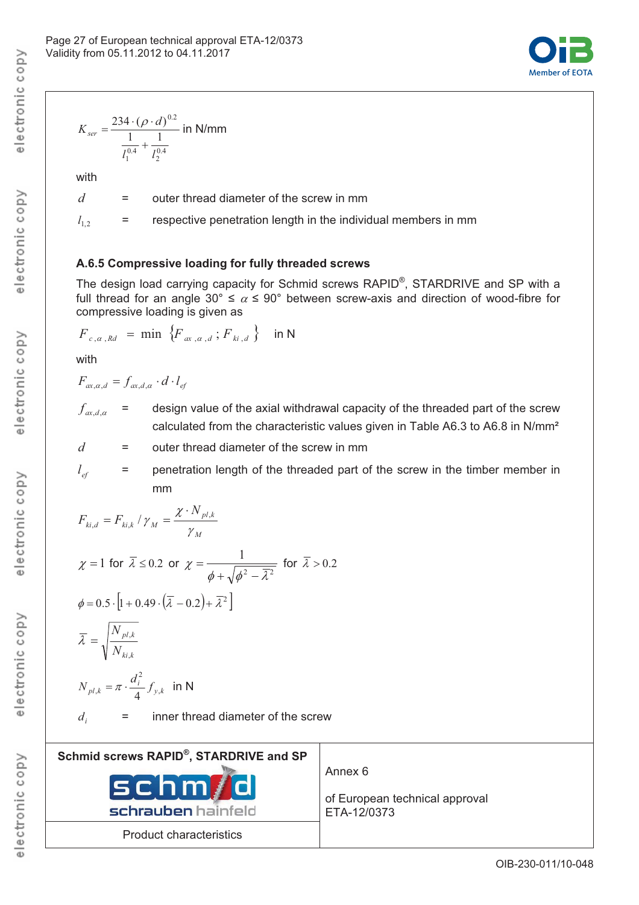electronic copy

electronic copy



$$
K_{ser} = \frac{234 \cdot (\rho \cdot d)^{0.2}}{\frac{1}{l_1^{0.4}} + \frac{1}{l_2^{0.4}}}
$$
 in N/mm

with

- *d* = outer thread diameter of the screw in mm
- $l_{12}$  = respective penetration length in the individual members in mm

#### **A.6.5 Compressive loading for fully threaded screws**

The design load carrying capacity for Schmid screws RAPID®, STARDRIVE and SP with a full thread for an angle 30°  $\leq \alpha \leq 90$ ° between screw-axis and direction of wood-fibre for compressive loading is given as

$$
F_{c,a, Rd} = \min \{ F_{ax,a,d} ; F_{ki,d} \} \text{ in N}
$$

with

$$
F_{\alpha x,\alpha,d} = f_{\alpha x,d,\alpha} \cdot d \cdot l_{\text{ef}}
$$

 $f_{\alpha x,d,\alpha}$  = design value of the axial withdrawal capacity of the threaded part of the screw calculated from the characteristic values given in Table A6.3 to A6.8 in N/mm²

*d* = outer thread diameter of the screw in mm

*ef l* = penetration length of the threaded part of the screw in the timber member in mm

$$
F_{ki,d} = F_{ki,k} / \gamma_M = \frac{\chi \cdot N_{pl,k}}{\gamma_M}
$$
  
\n
$$
\chi = 1 \text{ for } \overline{\lambda} \le 0.2 \text{ or } \chi = \frac{1}{\phi + \sqrt{\phi^2 - \overline{\lambda}^2}} \text{ for } \overline{\lambda} > 0.2
$$
  
\n
$$
\phi = 0.5 \cdot \left[1 + 0.49 \cdot (\overline{\lambda} - 0.2) + \overline{\lambda}^2\right]
$$
  
\n
$$
\overline{\lambda} = \sqrt{\frac{N_{pl,k}}{N_{ki,k}}}
$$

$$
N_{pl,k} = \pi \cdot \frac{d_i^2}{4} f_{y,k} \text{ in N}
$$

 $d_i$  = inner thread diameter of the screw

| Schmid screws RAPID <sup>®</sup> , STARDRIVE and SP | Annex 6                        |
|-----------------------------------------------------|--------------------------------|
| schm/d                                              | of European technical approval |
| schrauben hainfeld                                  | ETA-12/0373                    |
| Product characteristics                             |                                |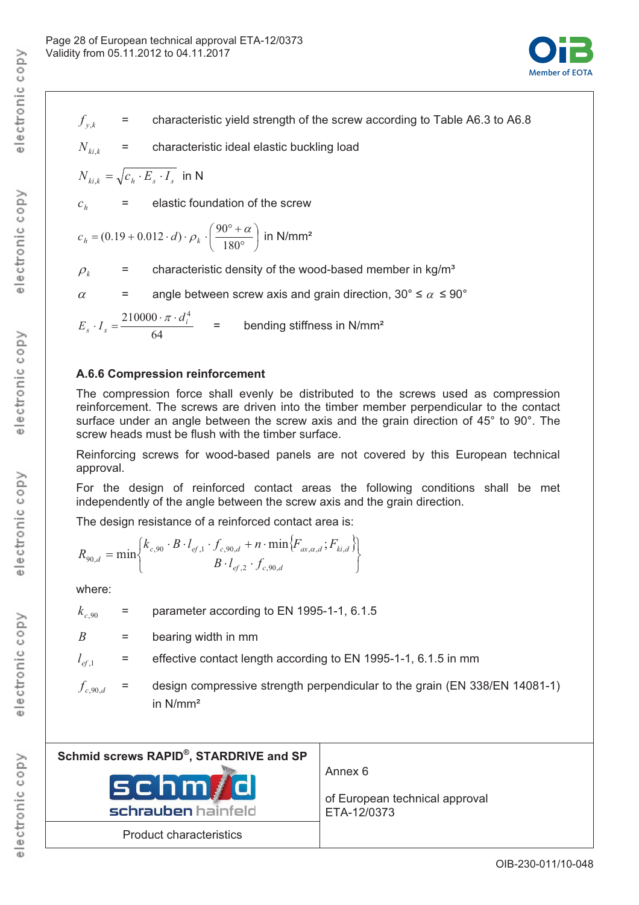

$$
f_{v,k}
$$
 = characteristic yield strength of the screw according to Table A6.3 to A6.8

$$
N_{k i,k} = \text{characteristic ideal elastic buckling load}
$$

$$
N_{ki,k} = \sqrt{c_h \cdot E_s \cdot I_s} \text{ in N}
$$

 $c<sub>h</sub>$  = elastic foundation of the screw

$$
c_h = (0.19 + 0.012 \cdot d) \cdot \rho_k \cdot \left(\frac{90^\circ + \alpha}{180^\circ}\right)
$$
 in N/mm<sup>2</sup>

 $\rho_k$  = characteristic density of the wood-based member in kg/m<sup>3</sup>

 $\alpha$  = angle between screw axis and grain direction, 30°  $\leq \alpha \leq 90$ °

$$
E_s \cdot I_s = \frac{210000 \cdot \pi \cdot d_i^4}{64} \qquad = \qquad \text{bending stiffness in N/mm}^2
$$

#### **A.6.6 Compression reinforcement**

The compression force shall evenly be distributed to the screws used as compression reinforcement. The screws are driven into the timber member perpendicular to the contact surface under an angle between the screw axis and the grain direction of 45° to 90°. The screw heads must be flush with the timber surface.

Reinforcing screws for wood-based panels are not covered by this European technical approval.

For the design of reinforced contact areas the following conditions shall be met independently of the angle between the screw axis and the grain direction.

The design resistance of a reinforced contact area is:

$$
R_{90,d} = \min \left\{ \frac{k_{c,90} \cdot B \cdot l_{ef,1} \cdot f_{c,90,d} + n \cdot \min \{ F_{ax,\alpha,d}; F_{ki,d} \}}{B \cdot l_{ef,2} \cdot f_{c,90,d}} \right\}
$$

where:

- $k_{c, 90}$  = parameter according to EN 1995-1-1, 6.1.5
- $B =$  bearing width in mm
- $l_{e,f,1}$  = effective contact length according to EN 1995-1-1, 6.1.5 in mm
- $f_{c,90,d}$  = design compressive strength perpendicular to the grain (EN 338/EN 14081-1) in N/mm²

| Schmid screws RAPID®, STARDRIVE and SP<br>schm/d | Annex 6<br>of European technical approval |
|--------------------------------------------------|-------------------------------------------|
| schrauben hainfeld                               | ETA-12/0373                               |
| <b>Product characteristics</b>                   |                                           |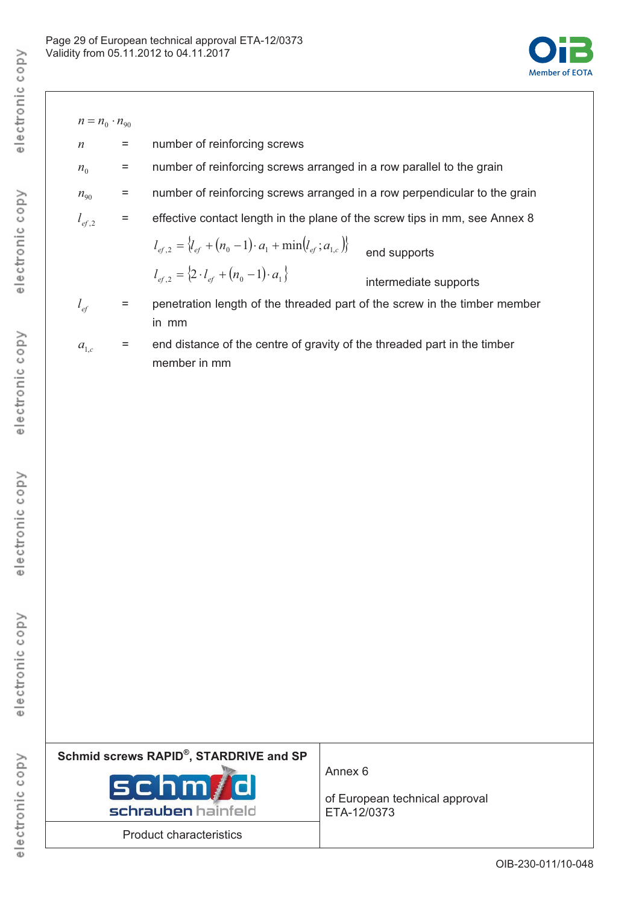

 $n = n_0 \cdot n_{90}$ 

- *n* = number of reinforcing screws
- $n_0$  = number of reinforcing screws arranged in a row parallel to the grain
- $n_{90}$  = number of reinforcing screws arranged in a row perpendicular to the grain
- $l_{\text{ef.2}}$  = effective contact length in the plane of the screw tips in mm, see Annex 8

$$
l_{ef,2} = \{l_{ef} + (n_0 - 1) \cdot a_1 + \min(l_{ef}; a_{1,c})\}
$$
 end supports

$$
l_{ef,2} = \{2 \cdot l_{ef} + (n_0 - 1) \cdot a_1\}
$$
intermediate supports

- $l_{ef}$  = penetration length of the threaded part of the screw in the timber member in mm
- $a_{1,c}$  = end distance of the centre of gravity of the threaded part in the timber member in mm

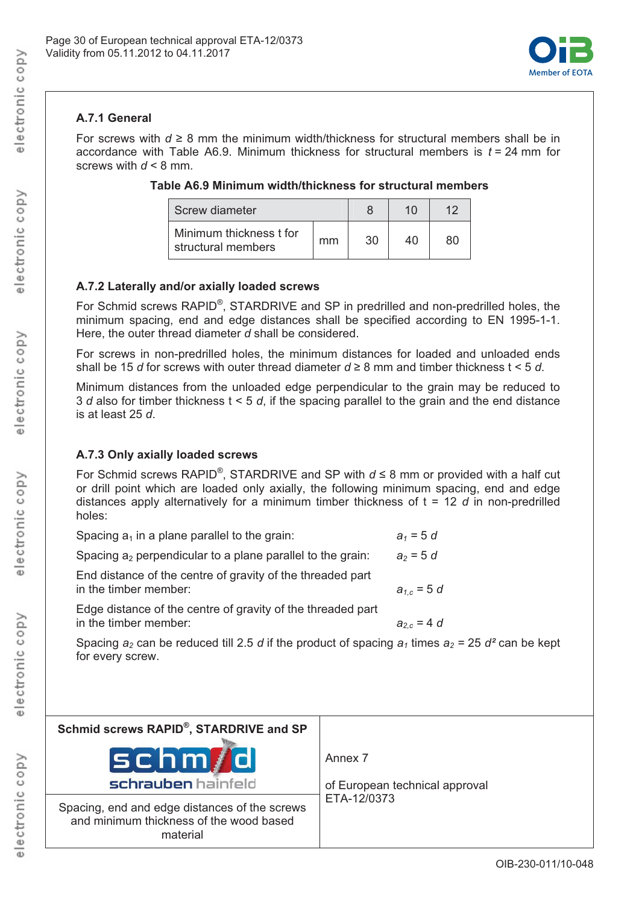

# **A.7.1 General**

For screws with  $d \geq 8$  mm the minimum width/thickness for structural members shall be in accordance with Table A6.9. Minimum thickness for structural members is  $t = 24$  mm for screws with *d* < 8 mm.

| adic Out, Millilliani widukiliyahiyyyi oli su duuna michidci. |  |  |  |
|---------------------------------------------------------------|--|--|--|
| Screw diameter                                                |  |  |  |
|                                                               |  |  |  |

 $\frac{1}{2}$  structural members model mm  $\frac{30}{40}$  40  $\frac{80}{40}$ 

### **Table A6.9 Minimum width/thickness for structural members**

| A.7.2 Laterally and/or axially loaded screws |  |  |
|----------------------------------------------|--|--|
|                                              |  |  |

Minimum thickness t for

For Schmid screws RAPID®, STARDRIVE and SP in predrilled and non-predrilled holes, the minimum spacing, end and edge distances shall be specified according to EN 1995-1-1. Here, the outer thread diameter *d* shall be considered.

For screws in non-predrilled holes, the minimum distances for loaded and unloaded ends shall be 15 *d* for screws with outer thread diameter  $d \geq 8$  mm and timber thickness t < 5 *d*.

Minimum distances from the unloaded edge perpendicular to the grain may be reduced to 3 *d* also for timber thickness t < 5 *d*, if the spacing parallel to the grain and the end distance is at least 25 *d*.

### **A.7.3 Only axially loaded screws**

For Schmid screws RAPID<sup>®</sup>, STARDRIVE and SP with  $d \leq 8$  mm or provided with a half cut or drill point which are loaded only axially, the following minimum spacing, end and edge distances apply alternatively for a minimum timber thickness of t = 12 *d* in non-predrilled holes:

| Spacing $a_1$ in a plane parallel to the grain:                                      | $a_1 = 5 d$    |
|--------------------------------------------------------------------------------------|----------------|
| Spacing a <sub>2</sub> perpendicular to a plane parallel to the grain:               | $a_2 = 5d$     |
| End distance of the centre of gravity of the threaded part<br>in the timber member:  | $a_{1,c} = 5d$ |
| Edge distance of the centre of gravity of the threaded part<br>in the timber member: | $a_{2,c} = 4d$ |
| Spacing $a_2$ can be reduced till 2.5 d if the product of spacing $a_1$ times a      |                |

| Spacing $a_2$ can be reduced till 2.5 d if the product of spacing $a_1$ times $a_2 = 25$ d <sup>2</sup> can be kept |  |
|---------------------------------------------------------------------------------------------------------------------|--|
| for every screw.                                                                                                    |  |
|                                                                                                                     |  |

| Schmid screws RAPID®, STARDRIVE and SP<br>schm/d                                                     | Annex 7                        |
|------------------------------------------------------------------------------------------------------|--------------------------------|
| schrauben hainfeld                                                                                   | of European technical approval |
| Spacing, end and edge distances of the screws<br>and minimum thickness of the wood based<br>material | ETA-12/0373                    |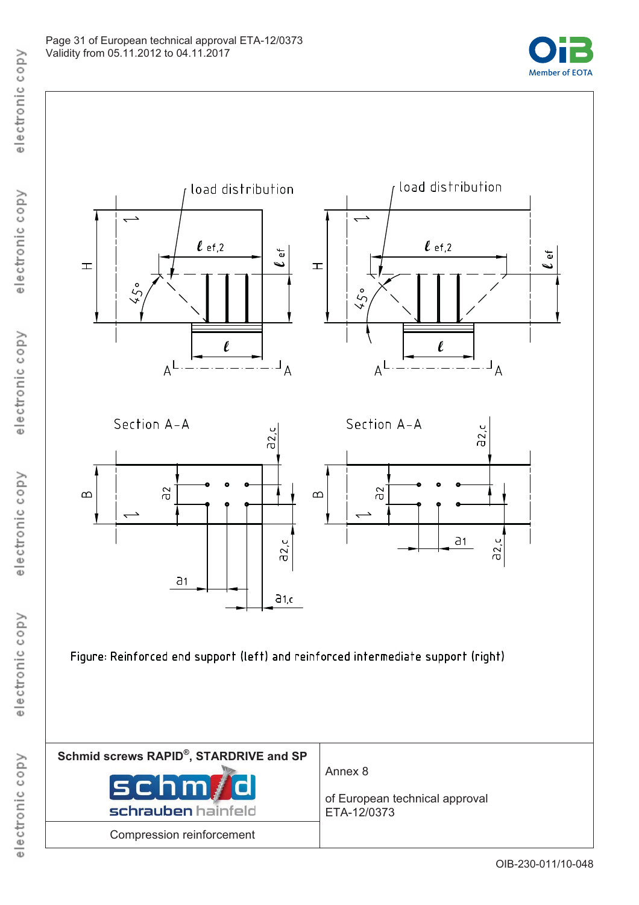

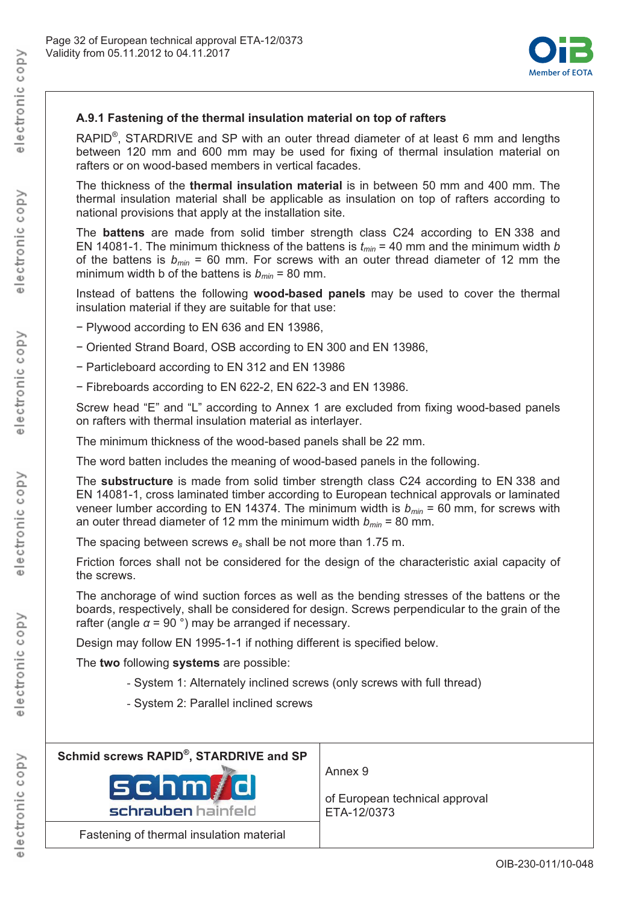

### **A.9.1 Fastening of the thermal insulation material on top of rafters**

RAPID<sup>®</sup>, STARDRIVE and SP with an outer thread diameter of at least 6 mm and lengths between 120 mm and 600 mm may be used for fixing of thermal insulation material on rafters or on wood-based members in vertical facades.

The thickness of the **thermal insulation material** is in between 50 mm and 400 mm. The thermal insulation material shall be applicable as insulation on top of rafters according to national provisions that apply at the installation site.

The **battens** are made from solid timber strength class C24 according to EN 338 and EN 14081-1. The minimum thickness of the battens is  $t_{min}$  = 40 mm and the minimum width *b* of the battens is  $b_{min}$  = 60 mm. For screws with an outer thread diameter of 12 mm the minimum width b of the battens is  $b_{min} = 80$  mm.

Instead of battens the following **wood-based panels** may be used to cover the thermal insulation material if they are suitable for that use:

- Plywood according to EN 636 and EN 13986,
- Oriented Strand Board, OSB according to EN 300 and EN 13986,
- Particleboard according to EN 312 and EN 13986
- Fibreboards according to EN 622-2, EN 622-3 and EN 13986.

Screw head "E" and "L" according to Annex 1 are excluded from fixing wood-based panels on rafters with thermal insulation material as interlayer.

The minimum thickness of the wood-based panels shall be 22 mm.

The word batten includes the meaning of wood-based panels in the following.

The **substructure** is made from solid timber strength class C24 according to EN 338 and EN 14081-1, cross laminated timber according to European technical approvals or laminated veneer lumber according to EN 14374. The minimum width is  $b_{min}$  = 60 mm, for screws with an outer thread diameter of 12 mm the minimum width  $b_{min} = 80$  mm.

The spacing between screws *es* shall be not more than 1.75 m.

Friction forces shall not be considered for the design of the characteristic axial capacity of the screws.

The anchorage of wind suction forces as well as the bending stresses of the battens or the boards, respectively, shall be considered for design. Screws perpendicular to the grain of the rafter (angle  $\alpha$  = 90 °) may be arranged if necessary.

Design may follow EN 1995-1-1 if nothing different is specified below.

The **two** following **systems** are possible:

- System 1: Alternately inclined screws (only screws with full thread)
- System 2: Parallel inclined screws

| Schmid screws RAPID®, STARDRIVE and SP<br>schm/d<br>schrauben hainfeld | Annex 9<br>of European technical approval<br>ETA-12/0373 |
|------------------------------------------------------------------------|----------------------------------------------------------|
| Fastening of thermal insulation material                               |                                                          |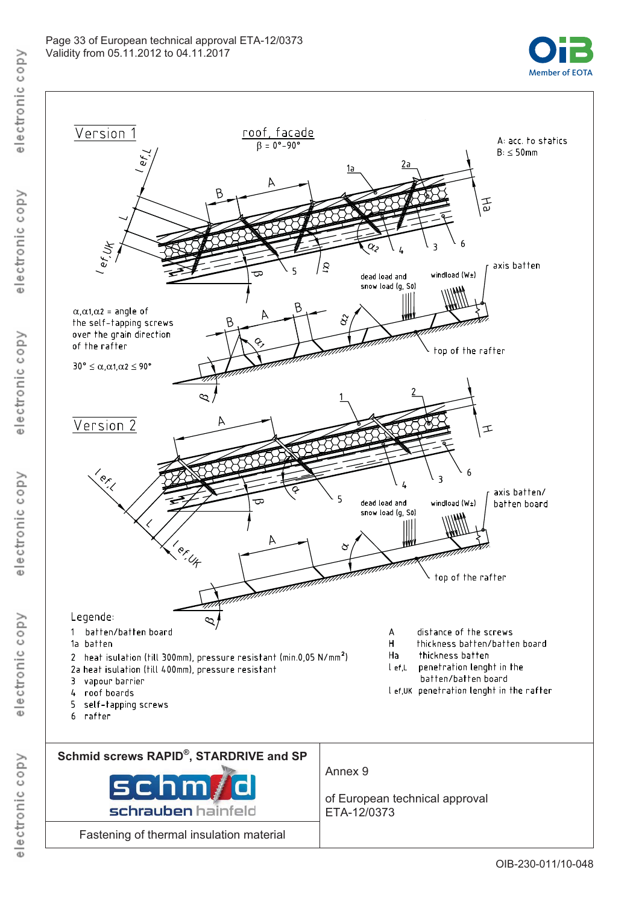

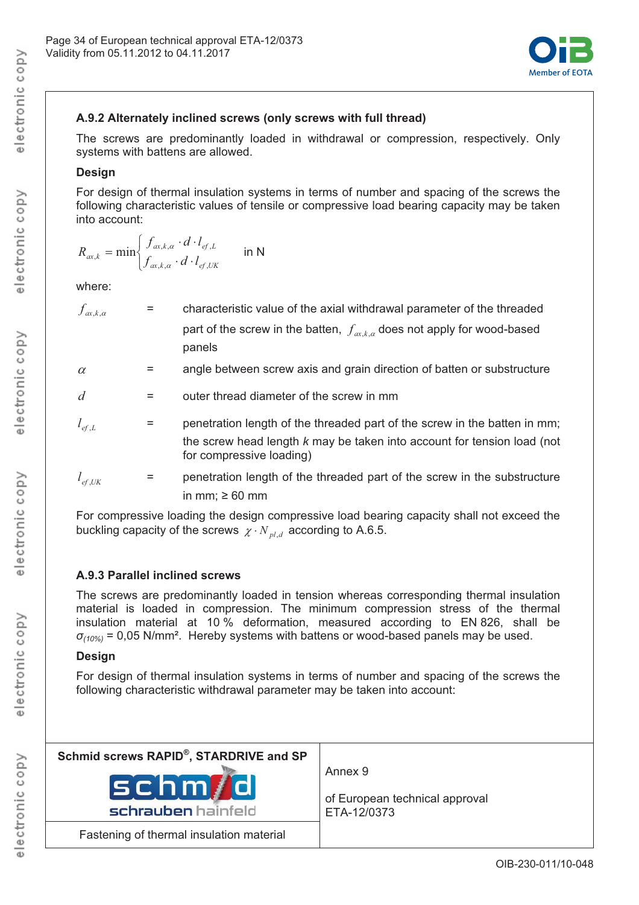

# **A.9.2 Alternately inclined screws (only screws with full thread)**

The screws are predominantly loaded in withdrawal or compression, respectively. Only systems with battens are allowed.

# **Design**

For design of thermal insulation systems in terms of number and spacing of the screws the following characteristic values of tensile or compressive load bearing capacity may be taken into account:

$$
R_{\alpha x,k} = \min \begin{cases} f_{\alpha x,k,\alpha} \cdot d \cdot l_{\text{ef},L} \\ f_{\alpha x,k,\alpha} \cdot d \cdot l_{\text{ef},UK} \end{cases}
$$
 in N

where:

| $f_{\alpha x,k,\alpha}$ | $=$ | characteristic value of the axial withdrawal parameter of the threaded      |
|-------------------------|-----|-----------------------------------------------------------------------------|
|                         |     | part of the screw in the batten, $f_{ax,k,a}$ does not apply for wood-based |
|                         |     | panels                                                                      |

- $\alpha$  = angle between screw axis and grain direction of batten or substructure
- d  $d =$  outer thread diameter of the screw in mm
- $l_{\text{eff,L}}$  = penetration length of the threaded part of the screw in the batten in mm; the screw head length *k* may be taken into account for tension load (not for compressive loading)
- $l_{\text{eff}}$  = penetration length of the threaded part of the screw in the substructure in mm;  $\geq 60$  mm

For compressive loading the design compressive load bearing capacity shall not exceed the buckling capacity of the screws  $\chi \cdot N_{pld}$  according to A.6.5.

# **A.9.3 Parallel inclined screws**

The screws are predominantly loaded in tension whereas corresponding thermal insulation material is loaded in compression. The minimum compression stress of the thermal insulation material at 10 % deformation, measured according to EN 826, shall be  $\sigma_{(10\%)}$  = 0,05 N/mm<sup>2</sup>. Hereby systems with battens or wood-based panels may be used.

# **Design**

For design of thermal insulation systems in terms of number and spacing of the screws the following characteristic withdrawal parameter may be taken into account:

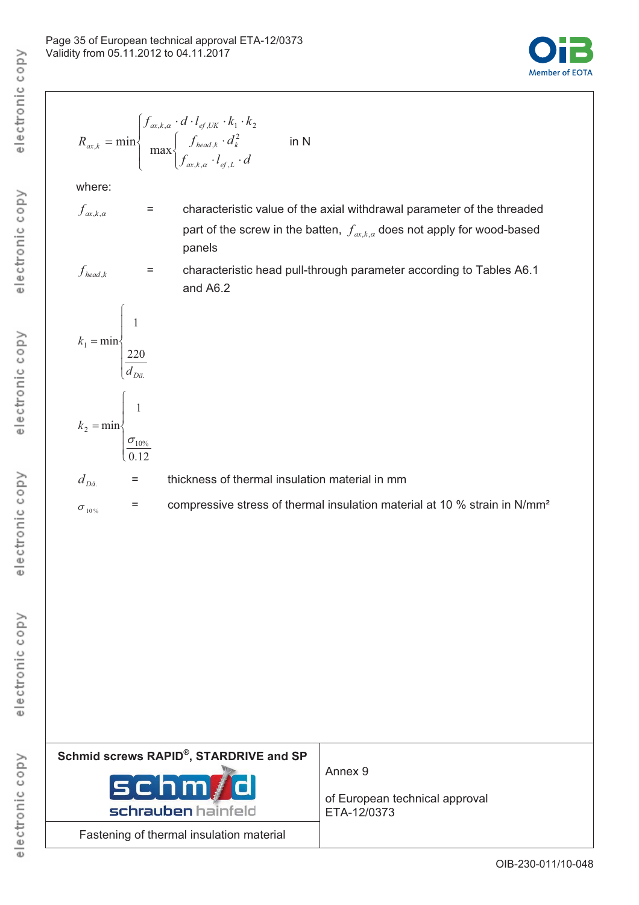

$$
R_{\alpha,k} = \min \begin{cases} f_{\alpha,k,\alpha} \cdot d \cdot l_{ef,UK} \cdot k_1 \cdot k_2 \\ \max \begin{cases} f_{\text{head},k} \cdot d_k^2 \\ f_{\alpha,k,\alpha} \cdot l_{ef,L} \cdot d \end{cases} \end{cases}
$$
 in N

where:

- $f_{\alpha x,k,\alpha}$  = characteristic value of the axial withdrawal parameter of the threaded part of the screw in the batten,  $f_{ax,k,a}$  does not apply for wood-based panels
- *f*  $f_{head,k}$  = characteristic head pull-through parameter according to Tables A6.1 and A6.2



# $d_{D\ddot{a}}$  = thickness of thermal insulation material in mm

| $\sigma$ 10 % | compressive stress of thermal insulation material at 10 % strain in N/mm <sup>2</sup> |
|---------------|---------------------------------------------------------------------------------------|
|               |                                                                                       |